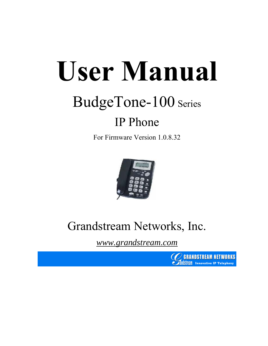# **User Manual**

## BudgeTone-100 Series

## IP Phone

For Firmware Version 1.0.8.32



## Grandstream Networks, Inc.

*www.grandstream.com*

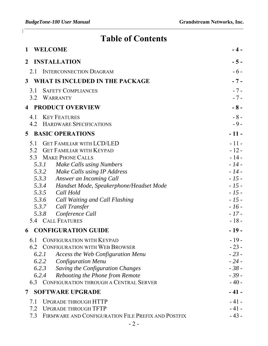$\begin{array}{c} \end{array}$ 

## **Table of Contents**

| <b>WELCOME</b><br>$\mathbf 1$                             | - 4 -  |
|-----------------------------------------------------------|--------|
| <b>INSTALLATION</b><br>$\mathbf{2}$                       | $-5-$  |
| <b>INTERCONNECTION DIAGRAM</b><br>2.1                     | $-6-$  |
| WHAT IS INCLUDED IN THE PACKAGE<br>$3^{\circ}$            | $-7-$  |
| <b>SAFETY COMPLIANCES</b><br>3.1                          | $-7-$  |
| 3.2<br><b>WARRANTY</b>                                    | $-7-$  |
| <b>PRODUCT OVERVIEW</b><br>$\overline{4}$                 | $-8-$  |
| <b>KEY FEATURES</b><br>4.1                                | $-8-$  |
| <b>HARDWARE SPECIFICATIONS</b><br>4.2                     | $-9-$  |
| <b>BASIC OPERATIONS</b><br>5 <sup>5</sup>                 | $-11-$ |
| <b>GET FAMILIAR WITH LCD/LED</b><br>5.1                   | $-11-$ |
| 5.2<br><b>GET FAMILIAR WITH KEYPAD</b>                    | $-12-$ |
| <b>MAKE PHONE CALLS</b><br>5.3                            | $-14-$ |
| Make Calls using Numbers<br>5.3.1                         | $-14-$ |
| 5.3.2 Make Calls using IP Address                         | $-14-$ |
| 5.3.3 Answer an Incoming Call                             | $-15-$ |
| 5.3.4 Handset Mode, Speakerphone/Headset Mode             | $-15-$ |
| 5.3.5 Call Hold                                           | $-15-$ |
| 5.3.6 Call Waiting and Call Flashing                      | $-15-$ |
| 5.3.7 Call Transfer                                       | $-16-$ |
| 5.3.8<br>Conference Call                                  | $-17-$ |
| 5.4 CALL FEATURES                                         | $-18-$ |
| <b>CONFIGURATION GUIDE</b><br>6                           | $-19-$ |
| <b>CONFIGURATION WITH KEYPAD</b><br>6.1                   | $-19-$ |
| 6.2<br><b>CONFIGURATION WITH WEB BROWSER</b>              | $-23-$ |
| 6.2.1<br><b>Access the Web Configuration Menu</b>         | $-23-$ |
| 6.2.2<br><b>Configuration Menu</b>                        | $-24-$ |
| 6.2.3<br>Saving the Configuration Changes                 | $-38-$ |
| 6.2.4<br>Rebooting the Phone from Remote                  | $-39-$ |
| CONFIGURATION THROUGH A CENTRAL SERVER<br>6.3             | $-40-$ |
| <b>SOFTWARE UPGRADE</b><br>7                              | $-41-$ |
| <b>UPGRADE THROUGH HTTP</b><br>7.1                        | $-41-$ |
| 7.2<br><b>UPGRADE THROUGH TFTP</b>                        | $-41-$ |
| FIRMWARE AND CONFIGURATION FILE PREFIX AND POSTFIX<br>7.3 | $-43-$ |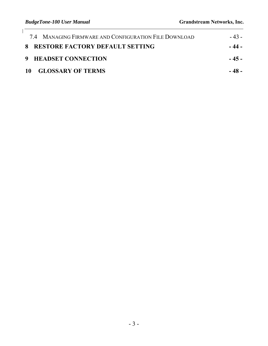| 7.4 MANAGING FIRMWARE AND CONFIGURATION FILE DOWNLOAD | $-43-$ |
|-------------------------------------------------------|--------|
| 8 RESTORE FACTORY DEFAULT SETTING                     | - 44 - |
| 9 HEADSET CONNECTION                                  | $-45-$ |
| 10 GLOSSARY OF TERMS                                  | - 48 - |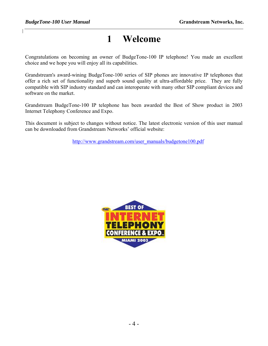## **1 Welcome**

Congratulations on becoming an owner of BudgeTone-100 IP telephone! You made an excellent choice and we hope you will enjoy all its capabilities.

Grandstream's award-wining BudgeTone-100 series of SIP phones are innovative IP telephones that offer a rich set of functionality and superb sound quality at ultra-affordable price. They are fully compatible with SIP industry standard and can interoperate with many other SIP compliant devices and software on the market.

Grandstream BudgeTone-100 IP telephone has been awarded the Best of Show product in 2003 Internet Telephony Conference and Expo.

This document is subject to changes without notice. The latest electronic version of this user manual can be downloaded from Grandstream Networks' official website:

http://www.grandstream.com/user\_manuals/budgetone100.pdf

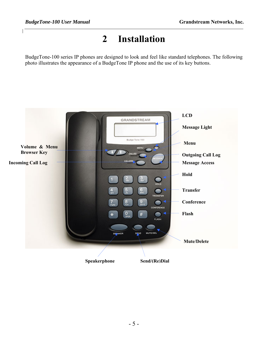## **2 Installation**

BudgeTone-100 series IP phones are designed to look and feel like standard telephones. The following photo illustrates the appearance of a BudgeTone IP phone and the use of its key buttons.

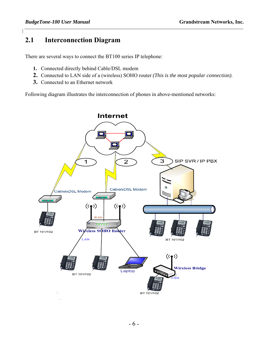#### **2.1 Interconnection Diagram**

There are several ways to connect the BT100 series IP telephone:

- **1.** Connected directly behind Cable/DSL modem
- **2.** Connected to LAN side of a (wireless) SOHO router *(This is the most popular connection)*.
- **3.** Connected to an Ethernet network

Following diagram illustrates the interconnection of phones in above-mentioned networks:

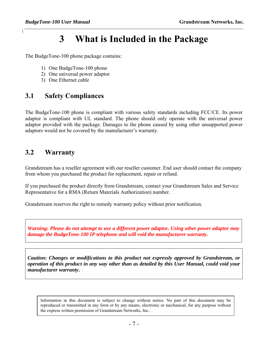## **3 What is Included in the Package**

The BudgeTone-100 phone package contains:

- 1) One BudgeTone-100 phone
- 2) One universal power adaptor
- 3) One Ethernet cable

#### **3.1 Safety Compliances**

The BudgeTone-100 phone is compliant with various safety standards including FCC/CE. Its power adaptor is compliant with UL standard. The phone should only operate with the universal power adaptor provided with the package. Damages to the phone caused by using other unsupported power adaptors would not be covered by the manufacturer's warranty.

#### **3.2 Warranty**

Grandstream has a reseller agreement with our reseller customer. End user should contact the company from whom you purchased the product for replacement, repair or refund.

If you purchased the product directly from Grandstream, contact your Grandstream Sales and Service Representative for a RMA (Return Materials Authorization) number.

Grandstream reserves the right to remedy warranty policy without prior notification.

*Warning: Please do not attempt to use a different power adaptor. Using other power adaptor may damage the BudgeTone-100 IP telephone and will void the manufacturer warranty.*

*Caution: Changes or modifications to this product not expressly approved by Grandstream, or operation of this product in any way other than as detailed by this User Manual, could void your manufacturer warranty***.**

Information in this document is subject to change without notice. No part of this document may be reproduced or transmitted in any form or by any means, electronic or mechanical, for any purpose without the express written permission of Grandstream Networks, Inc..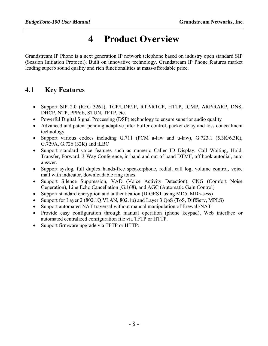## **4 Product Overview**

Grandstream IP Phone is a next generation IP network telephone based on industry open standard SIP (Session Initiation Protocol). Built on innovative technology, Grandstream IP Phone features market leading superb sound quality and rich functionalities at mass-affordable price.

#### **4.1 Key Features**

- Support SIP 2.0 (RFC 3261), TCP/UDP/IP, RTP/RTCP, HTTP, ICMP, ARP/RARP, DNS, DHCP, NTP, PPPoE, STUN, TFTP, etc.
- Powerful Digital Signal Processing (DSP) technology to ensure superior audio quality
- Advanced and patent pending adaptive jitter buffer control, packet delay and loss concealment technology
- Support various codecs including G.711 (PCM a-law and u-law), G.723.1 (5.3K/6.3K), G.729A, G.726 (32K) and iLBC
- Support standard voice features such as numeric Caller ID Display, Call Waiting, Hold, Transfer, Forward, 3-Way Conference, in-band and out-of-band DTMF, off hook autodial, auto answer.
- Support syslog, full duplex hands-free speakerphone, redial, call log, volume control, voice mail with indicator, downloadable ring tones.
- Support Silence Suppression, VAD (Voice Activity Detection), CNG (Comfort Noise Generation), Line Echo Cancellation (G.168), and AGC (Automatic Gain Control)
- Support standard encryption and authentication (DIGEST using MD5, MD5-sess)
- Support for Layer 2 (802.1Q VLAN, 802.1p) and Layer 3 QoS (ToS, DiffServ, MPLS)
- Support automated NAT traversal without manual manipulation of firewall/NAT
- Provide easy configuration through manual operation (phone keypad), Web interface or automated centralized configuration file via TFTP or HTTP.
- Support firmware upgrade via TFTP or HTTP.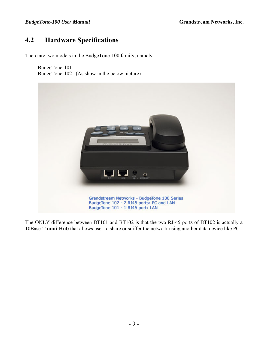#### **4.2 Hardware Specifications**

There are two models in the BudgeTone-100 family, namely:

BudgeTone-101 BudgeTone-102 (As show in the below picture)



The ONLY difference between BT101 and BT102 is that the two RJ-45 ports of BT102 is actually a 10Base-T **mini-Hub** that allows user to share or sniffer the network using another data device like PC.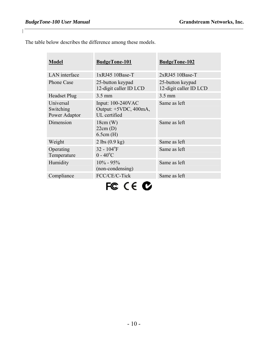×

 $\mathbf{I}$ 

The table below describes the difference among these models.

| <b>Model</b>                            | <b>BudgeTone-101</b>                                       | <b>BudgeTone-102</b>                       |
|-----------------------------------------|------------------------------------------------------------|--------------------------------------------|
| LAN interface                           | 1xRJ45 10Base-T                                            | 2xRJ45 10Base-T                            |
| <b>Phone Case</b>                       | 25-button keypad<br>12-digit caller ID LCD                 | 25-button keypad<br>12-digit caller ID LCD |
| <b>Headset Plug</b>                     | 3.5 mm                                                     | 3.5 mm                                     |
| Universal<br>Switching<br>Power Adaptor | Input: 100-240VAC<br>Output: +5VDC, 400mA,<br>UL certified | Same as left                               |
| Dimension                               | $18cm$ (W)<br>22cm(D)<br>6.5cm(H)                          | Same as left                               |
| Weight                                  | $2 \text{ lbs } (0.9 \text{ kg})$                          | Same as left                               |
| Operating<br>Temperature                | $32 - 104$ <sup>o</sup> F<br>$0 - 40^{\circ}C$             | Same as left                               |
| Humidity                                | $10\% - 95\%$<br>(non-condensing)                          | Same as left                               |
| Compliance                              | FCC/CE/C-Tick                                              | Same as left                               |
|                                         |                                                            |                                            |

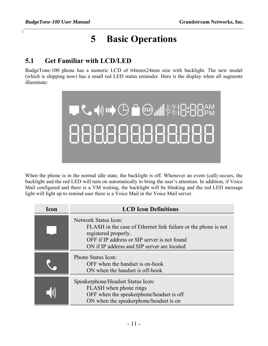## **5 Basic Operations**

#### **5.1 Get Familiar with LCD/LED**

BudgeTone-100 phone has a numeric LCD of 64mmx24mm size with backlight. The new model (which is shipping now) has a small red LED status reminder. Here is the display when all segments illuminate:



When the phone is in the normal idle state, the backlight is off. Whenever an event (call) occurs, the backlight and the red LED will turn on automatically to bring the user's attention. In addition, if Voice Mail configured and there is a VM waiting, the backlight will be blinking and the red LED message light will light up to remind user there is a Voice Mail in the Voice Mail server.

| Icon | <b>LCD</b> Icon Definitions                                                                                                                                                                                   |
|------|---------------------------------------------------------------------------------------------------------------------------------------------------------------------------------------------------------------|
|      | Network Status Icon:<br>FLASH in the case of Ethernet link failure or the phone is not<br>registered properly.<br>OFF if IP address or SIP server is not found<br>ON if IP address and SIP server are located |
|      | Phone Status Icon:<br>OFF when the handset is on-hook<br>ON when the handset is off-hook                                                                                                                      |
|      | Speakerphone/Headset Status Icon:<br>FLASH when phone rings<br>OFF when the speakerphone/headset is off<br>ON when the speakerphone/headset is on                                                             |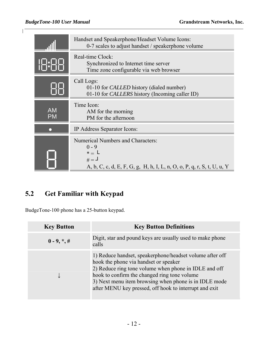$\mathbf{I}$ 

|                        | Handset and Speakerphone/Headset Volume Icons:<br>0-7 scales to adjust handset / speakerphone volume                                                      |
|------------------------|-----------------------------------------------------------------------------------------------------------------------------------------------------------|
|                        | Real-time Clock:<br>Synchronized to Internet time server<br>Time zone configurable via web browser                                                        |
|                        | Call Logs:<br>01-10 for <i>CALLED</i> history (dialed number)<br>01-10 for <i>CALLERS</i> history (Incoming caller ID)                                    |
| <b>AM</b><br><b>PM</b> | Time Icon:<br>AM for the morning<br>PM for the afternoon                                                                                                  |
|                        | IP Address Separator Icons:                                                                                                                               |
|                        | <b>Numerical Numbers and Characters:</b><br>$0 - 9$<br>$* = L$<br>$# = \square$<br>A, b, C, c, d, E, F, G, g, H, h, I, L, n, O, o, P, q, r, S, t, U, u, Y |

## **5.2 Get Familiar with Keypad**

BudgeTone-100 phone has a 25-button keypad.

| <b>Key Button</b> | <b>Key Button Definitions</b>                                                                                                                                                                                                                                                                                                 |
|-------------------|-------------------------------------------------------------------------------------------------------------------------------------------------------------------------------------------------------------------------------------------------------------------------------------------------------------------------------|
| $0 - 9, *, #$     | Digit, star and pound keys are usually used to make phone<br>calls                                                                                                                                                                                                                                                            |
|                   | 1) Reduce handset, speakerphone/headset volume after off<br>hook the phone via handset or speaker<br>2) Reduce ring tone volume when phone in IDLE and off<br>hook to confirm the changed ring tone volume<br>3) Next menu item browsing when phone is in IDLE mode<br>after MENU key pressed, off hook to interrupt and exit |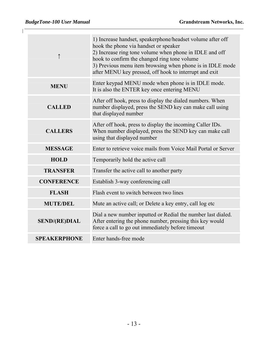| ↑                    | 1) Increase handset, speakerphone/headset volume after off<br>hook the phone via handset or speaker<br>2) Increase ring tone volume when phone in IDLE and off<br>hook to confirm the changed ring tone volume<br>3) Previous menu item browsing when phone is in IDLE mode<br>after MENU key pressed, off hook to interrupt and exit |
|----------------------|---------------------------------------------------------------------------------------------------------------------------------------------------------------------------------------------------------------------------------------------------------------------------------------------------------------------------------------|
| <b>MENU</b>          | Enter keypad MENU mode when phone is in IDLE mode.<br>It is also the ENTER key once entering MENU                                                                                                                                                                                                                                     |
| <b>CALLED</b>        | After off hook, press to display the dialed numbers. When<br>number displayed, press the SEND key can make call using<br>that displayed number                                                                                                                                                                                        |
| <b>CALLERS</b>       | After off hook, press to display the incoming Caller IDs.<br>When number displayed, press the SEND key can make call<br>using that displayed number                                                                                                                                                                                   |
| <b>MESSAGE</b>       | Enter to retrieve voice mails from Voice Mail Portal or Server                                                                                                                                                                                                                                                                        |
| <b>HOLD</b>          | Temporarily hold the active call                                                                                                                                                                                                                                                                                                      |
| <b>TRANSFER</b>      | Transfer the active call to another party                                                                                                                                                                                                                                                                                             |
| <b>CONFERENCE</b>    | Establish 3-way conferencing call                                                                                                                                                                                                                                                                                                     |
| <b>FLASH</b>         | Flash event to switch between two lines                                                                                                                                                                                                                                                                                               |
| <b>MUTE/DEL</b>      | Mute an active call; or Delete a key entry, call log etc                                                                                                                                                                                                                                                                              |
| <b>SEND/(RE)DIAL</b> | Dial a new number inputted or Redial the number last dialed.<br>After entering the phone number, pressing this key would<br>force a call to go out immediately before timeout                                                                                                                                                         |
| <b>SPEAKERPHONE</b>  | Enter hands-free mode                                                                                                                                                                                                                                                                                                                 |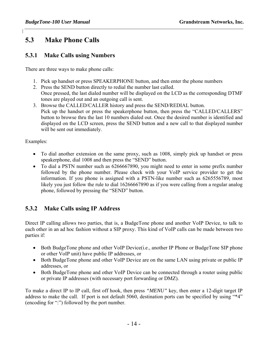#### **5.3 Make Phone Calls**

#### **5.3.1 Make Calls using Numbers**

There are three ways to make phone calls:

- 1. Pick up handset or press SPEAKERPHONE button, and then enter the phone numbers
- 2. Press the SEND button directly to redial the number last called. Once pressed, the last dialed number will be displayed on the LCD as the corresponding DTMF tones are played out and an outgoing call is sent.
- 3. Browse the CALLED/CALLER history and press the SEND/REDIAL button. Pick up the handset or press the speakerphone button, then press the "CALLED/CALLERS" button to browse thru the last 10 numbers dialed out. Once the desired number is identified and displayed on the LCD screen, press the SEND button and a new call to that displayed number will be sent out immediately.

Examples:

- To dial another extension on the same proxy, such as 1008, simply pick up handset or press speakerphone, dial 1008 and then press the "SEND" button.
- To dial a PSTN number such as 6266667890, you might need to enter in some prefix number followed by the phone number. Please check with your VoIP service provider to get the information. If you phone is assigned with a PSTN-like number such as 6265556789, most likely you just follow the rule to dial 16266667890 as if you were calling from a regular analog phone, followed by pressing the "SEND" button.

#### **5.3.2 Make Calls using IP Address**

Direct IP calling allows two parties, that is, a BudgeTone phone and another VoIP Device, to talk to each other in an ad hoc fashion without a SIP proxy. This kind of VoIP calls can be made between two parties if:

- Both BudgeTone phone and other VoIP Device(i.e., another IP Phone or BudgeTone SIP phone or other VoIP unit) have public IP addresses, or
- Both BudgeTone phone and other VoIP Device are on the same LAN using private or public IP addresses, or
- Both BudgeTone phone and other VoIP Device can be connected through a router using public or private IP addresses (with necessary port forwarding or DMZ).

To make a direct IP to IP call, first off hook, then press *"MENU"* key, then enter a 12-digit target IP address to make the call. If port is not default 5060, destination ports can be specified by using "\*4" (encoding for ":") followed by the port number.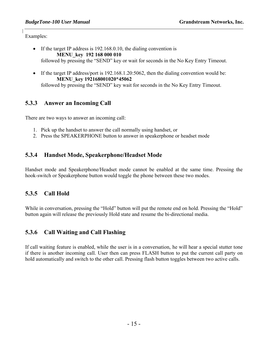Examples:

- If the target IP address is 192.168.0.10, the dialing convention is **MENU\_key 192 168 000 010** followed by pressing the "SEND" key or wait for seconds in the No Key Entry Timeout.
- If the target IP address/port is 192.168.1.20:5062, then the dialing convention would be: **MENU\_key 192168001020**\***45062**  followed by pressing the "SEND" key wait for seconds in the No Key Entry Timeout.

#### **5.3.3 Answer an Incoming Call**

There are two ways to answer an incoming call:

- 1. Pick up the handset to answer the call normally using handset, or
- 2. Press the SPEAKERPHONE button to answer in speakerphone or headset mode

#### **5.3.4 Handset Mode, Speakerphone/Headset Mode**

Handset mode and Speakerphone/Headset mode cannot be enabled at the same time. Pressing the hook-switch or Speakerphone button would toggle the phone between these two modes.

#### **5.3.5 Call Hold**

While in conversation, pressing the "Hold" button will put the remote end on hold. Pressing the "Hold" button again will release the previously Hold state and resume the bi-directional media.

#### **5.3.6 Call Waiting and Call Flashing**

If call waiting feature is enabled, while the user is in a conversation, he will hear a special stutter tone if there is another incoming call. User then can press FLASH button to put the current call party on hold automatically and switch to the other call. Pressing flash button toggles between two active calls.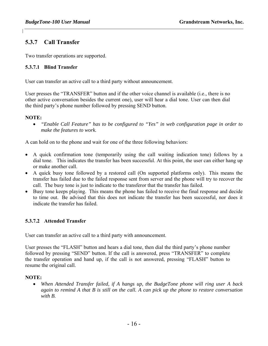#### **5.3.7 Call Transfer**

Two transfer operations are supported.

#### **5.3.7.1 Blind Transfer**

User can transfer an active call to a third party without announcement.

User presses the "TRANSFER" button and if the other voice channel is available (i.e., there is no other active conversation besides the current one), user will hear a dial tone. User can then dial the third party's phone number followed by pressing SEND button.

#### **NOTE:**

• *"Enable Call Feature" has to be configured to "Yes" in web configuration page in order to make the features to work.* 

A can hold on to the phone and wait for one of the three following behaviors:

- A quick confirmation tone (temporarily using the call waiting indication tone) follows by a dial tone. This indicates the transfer has been successful. At this point, the user can either hang up or make another call.
- A quick busy tone followed by a restored call (On supported platforms only). This means the transfer has failed due to the failed response sent from server and the phone will try to recover the call. The busy tone is just to indicate to the transferor that the transfer has failed.
- Busy tone keeps playing. This means the phone has failed to receive the final response and decide to time out. Be advised that this does not indicate the transfer has been successful, nor does it indicate the transfer has failed.

#### **5.3.7.2 Attended Transfer**

User can transfer an active call to a third party with announcement.

User presses the "FLASH" button and hears a dial tone, then dial the third party's phone number followed by pressing "SEND" button. If the call is answered, press "TRANSFER" to complete the transfer operation and hand up, if the call is not answered, pressing "FLASH" button to resume the original call.

#### **NOTE:**

• *When Attended Transfer failed, if A hangs up, the BudgeTone phone will ring user A back again to remind A that B is still on the call. A can pick up the phone to restore conversation with B.*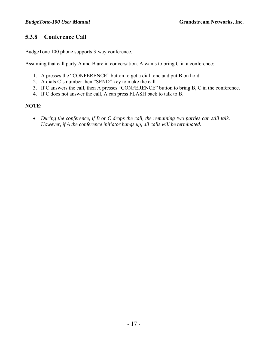#### **5.3.8 Conference Call**

BudgeTone 100 phone supports 3-way conference.

Assuming that call party A and B are in conversation. A wants to bring C in a conference:

- 1. A presses the "CONFERENCE" button to get a dial tone and put B on hold
- 2. A dials C's number then "SEND" key to make the call
- 3. If C answers the call, then A presses "CONFERENCE" button to bring B, C in the conference.
- 4. If C does not answer the call, A can press FLASH back to talk to B.

#### **NOTE:**

• *During the conference, if B or C drops the call, the remaining two parties can still talk. However, if A the conference initiator hangs up, all calls will be terminated.*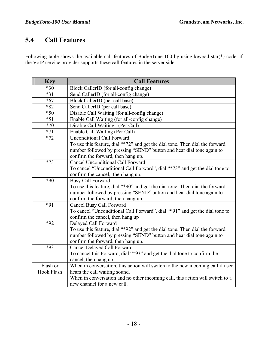#### **5.4 Call Features**

 $\mathsf{l}$ 

Following table shows the available call features of BudgeTone 100 by using keypad star(\*) code, if the VoIP service provider supports these call features in the server side:

| <b>Key</b> | <b>Call Features</b>                                                           |
|------------|--------------------------------------------------------------------------------|
| $*30$      | Block CallerID (for all-config change)                                         |
| $*31$      | Send CallerID (for all-config change)                                          |
| $*67$      | Block CallerID (per call base)                                                 |
| *82        | Send CallerID (per call base)                                                  |
| $*50$      | Disable Call Waiting (for all-config change)                                   |
| $*51$      | Enable Call Waiting (for all-config change)                                    |
| $*70$      | Disable Call Waiting. (Per Call)                                               |
| $*71$      | Enable Call Waiting (Per Call)                                                 |
| $*72$      | Unconditional Call Forward.                                                    |
|            | To use this feature, dial "*72" and get the dial tone. Then dial the forward   |
|            | number followed by pressing "SEND" button and hear dial tone again to          |
|            | confirm the forward, then hang up.                                             |
| $*73$      | <b>Cancel Unconditional Call Forward</b>                                       |
|            | To cancel "Unconditional Call Forward", dial "*73" and get the dial tone to    |
|            | confirm the cancel, then hang up.                                              |
| $*90$      | <b>Busy Call Forward</b>                                                       |
|            | To use this feature, dial "*90" and get the dial tone. Then dial the forward   |
|            | number followed by pressing "SEND" button and hear dial tone again to          |
|            | confirm the forward, then hang up.                                             |
| $*91$      | Cancel Busy Call Forward                                                       |
|            | To cancel "Unconditional Call Forward", dial "*91" and get the dial tone to    |
| $*92$      | confirm the cancel, then hang up<br>Delayed Call Forward                       |
|            | To use this feature, dial "*92" and get the dial tone. Then dial the forward   |
|            | number followed by pressing "SEND" button and hear dial tone again to          |
|            | confirm the forward, then hang up.                                             |
| *93        | Cancel Delayed Call Forward                                                    |
|            | To cancel this Forward, dial "*93" and get the dial tone to confirm the        |
|            | cancel, then hang up                                                           |
| Flash or   | When in conversation, this action will switch to the new incoming call if user |
| Hook Flash | hears the call waiting sound.                                                  |
|            | When in conversation and no other incoming call, this action will switch to a  |
|            | new channel for a new call.                                                    |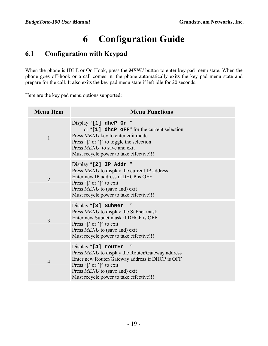## **6 Configuration Guide**

#### **6.1 Configuration with Keypad**

When the phone is IDLE or On Hook, press the *MENU* button to enter key pad menu state. When the phone goes off-hook or a call comes in, the phone automatically exits the key pad menu state and prepare for the call. It also exits the key pad menu state if left idle for 20 seconds.

Here are the key pad menu options supported:

| <b>Menu Item</b> | <b>Menu Functions</b>                                                                                                                                                                                                                                      |
|------------------|------------------------------------------------------------------------------------------------------------------------------------------------------------------------------------------------------------------------------------------------------------|
| $\mathbf{1}$     | Display "[1] dhcP On "<br>or " $[1]$ dhcP oFF" for the current selection<br>Press MENU key to enter edit mode<br>Press $\sqrt{\ }$ or $\uparrow$ to toggle the selection<br>Press MENU to save and exit<br>Must recycle power to take effective!!!         |
| $\overline{2}$   | Display "[2] IP Addr<br>Press <i>MENU</i> to display the current IP address<br>Enter new IP address if DHCP is OFF<br>Press ' $\downarrow$ ' or ' $\uparrow$ ' to exit<br>Press MENU to (save and) exit<br>Must recycle power to take effective!!!         |
| 3                | Display "[3] SubNet<br>Press MENU to display the Subnet mask<br>Enter new Subnet mask if DHCP is OFF<br>Press $\sqrt{\ }$ or $\uparrow$ to exit<br>Press <i>MENU</i> to (save and) exit<br>Must recycle power to take effective!!!                         |
| $\overline{4}$   | Display "[4] routEr<br>Press MENU to display the Router/Gateway address<br>Enter new Router/Gateway address if DHCP is OFF<br>Press ' $\downarrow$ ' or ' $\uparrow$ ' to exit<br>Press MENU to (save and) exit<br>Must recycle power to take effective!!! |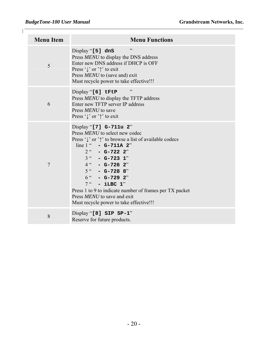| <b>Menu Item</b> | <b>Menu Functions</b>                                                                                                                                                                                                                                                                                                                                                                                                                      |
|------------------|--------------------------------------------------------------------------------------------------------------------------------------------------------------------------------------------------------------------------------------------------------------------------------------------------------------------------------------------------------------------------------------------------------------------------------------------|
| 5                | , 2<br>Display "[5] dns<br>Press MENU to display the DNS address<br>Enter new DNS address if DHCP is OFF<br>Press ' $\downarrow$ ' or ' $\uparrow$ ' to exit<br>Press MENU to (save and) exit<br>Must recycle power to take effective!!!                                                                                                                                                                                                   |
| 6                | , 2<br>Display "[6] tFtP<br>Press MENU to display the TFTP address<br>Enter new TFTP server IP address<br>Press MENU to save<br>Press ' $\downarrow$ ' or ' $\uparrow$ ' to exit                                                                                                                                                                                                                                                           |
| $\overline{7}$   | Display "[7] G-711u 2"<br>Press <i>MENU</i> to select new codec<br>Press $\int$ or $\uparrow$ to browse a list of available codecs<br>line $1$ " - G-711A 2"<br>$2^{\prime\prime}$ - G-722 2"<br>$3^{u}$ - G-723 1"<br>$4$ " - G-726 2"<br>$5$ " - G-728 8"<br>$6^{''}$ - G-729 2"<br>$7$ " - iLBC 1"<br>Press 1 to 9 to indicate number of frames per TX packet<br>Press MENU to save and exit<br>Must recycle power to take effective!!! |
| 8                | Display "[8] SIP SP-1"<br>Reserve for future products.                                                                                                                                                                                                                                                                                                                                                                                     |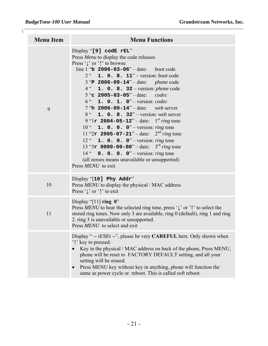$\mathsf{I}$ 

| <b>Menu Item</b> | <b>Menu Functions</b>                                                                                                                                                                                                                                                                                                                                                                                                                                                                                                                                                                                                                                                                                                                                                                                                                                                                                         |
|------------------|---------------------------------------------------------------------------------------------------------------------------------------------------------------------------------------------------------------------------------------------------------------------------------------------------------------------------------------------------------------------------------------------------------------------------------------------------------------------------------------------------------------------------------------------------------------------------------------------------------------------------------------------------------------------------------------------------------------------------------------------------------------------------------------------------------------------------------------------------------------------------------------------------------------|
| 9                | Display "[9] codE rEL"<br>Press Menu to display the code releases<br>Press $\downarrow$ or $\uparrow$ to browse<br>line 1 " <b>b</b> 2006-03-06" – date: <i>boot</i> code<br>$2^{\omega}$ <b>1. 0. 8. 11</b> " – version: <i>boot</i> code<br>3 "P 2006-09-14" - date: phone code<br>$4''$ <b>1. 0. 8. 32</b> – version: <i>phone</i> code<br>5 "c $2005 - 03 - 05$ " - date:<br>codec<br>$6$ " 1. 0. 1. 0" – version: codec<br>7 "h $2006 - 09 - 14$ " - date: web server<br>8 " 1. 0. 8. 32" – version: web server<br>9 "1r 2004-05-12" – date: $1^{st}$ ring tone<br>10" <b>1. 0. 0. 0</b> " – version: <i>ring</i> tone<br>11 " $2r$ 2005-07-21" – date: $2nd ring$ tone<br>12 " <b>1. 0. 0. 0</b> " – version: <i>ring</i> tone<br>13 " $3r$ 0000-00-00" – date: $3rd ring$ tone<br>14 $\degree$ 0. 0. 0. 0" – version: ring tone<br>(all zeroes means unavailable or unsupported)<br>Press MENU to exit |
| 10               | Display "[10] Phy Addr"<br>Press MENU to display the physical / MAC address<br>Press $\downarrow$ or $\uparrow$ to exit                                                                                                                                                                                                                                                                                                                                                                                                                                                                                                                                                                                                                                                                                                                                                                                       |
| 11               | Display "[11] ring $0$ "<br>Press MENU to hear the selected ring tone, press ' $\downarrow$ ' or ' $\uparrow$ ' to select the<br>stored ring tones. Now only 3 are available, ring 0 (default), ring 1 and ring<br>2. ring 3 is unavailable or unsupported.<br>Press MENU to select and exit                                                                                                                                                                                                                                                                                                                                                                                                                                                                                                                                                                                                                  |
|                  | Display " -- rESEt --", please be very CAREFUL here. Only shown when<br>'\'\'\'\'\'\tey to pressed:<br>Key in the physical / MAC address on back of the phone, Press MENU,<br>phone will be reset to FACTORY DEFAULT setting, and all your<br>setting will be erased.<br>Press MENU key without key in anything, phone will function the<br>same as power cycle or reboot. This is called soft reboot.                                                                                                                                                                                                                                                                                                                                                                                                                                                                                                        |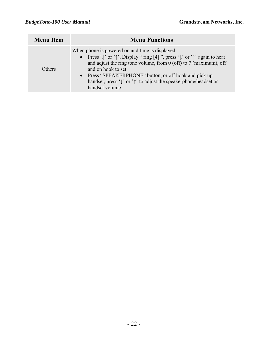$\mathsf{I}$ 

| <b>Menu Item</b> | <b>Menu Functions</b>                                                                                                                                                                                                                               |
|------------------|-----------------------------------------------------------------------------------------------------------------------------------------------------------------------------------------------------------------------------------------------------|
|                  | When phone is powered on and time is displayed<br>• Press ' $\downarrow$ ' or ' $\uparrow$ ', Display " ring [4] ", press ' $\downarrow$ ' or ' $\uparrow$ ' again to hear<br>and adjust the ring tone volume, from $0$ (off) to $7$ (maximum), off |
| Others           | and on hook to set<br>• Press "SPEAKERPHONE" button, or off hook and pick up<br>handset, press $\sqrt{\ }$ or $\gamma$ to adjust the speakerphone/headset or<br>handset volume                                                                      |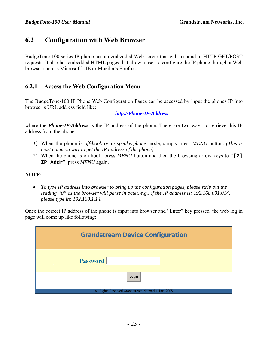#### **6.2 Configuration with Web Browser**

BudgeTone-100 series IP phone has an embedded Web server that will respond to HTTP GET/POST requests. It also has embedded HTML pages that allow a user to configure the IP phone through a Web browser such as Microsoft's IE or Mozilla's Firefox..

#### **6.2.1 Access the Web Configuration Menu**

The BudgeTone-100 IP Phone Web Configuration Pages can be accessed by input the phones IP into browser's URL address field like:

*http://Phone-IP-Address*

where the *Phone-IP-Address* is the IP address of the phone. There are two ways to retrieve this IP address from the phone:

- *1)* When the phone is *off-hook or in speakerphone* mode, simply press *MENU* button. *(This is most common way to get the IP address of the phone)*
- 2) When the phone is on-hook, press *MENU* button and then the browsing arrow keys to "**[2] IP Addr**", press *MENU* again.

#### **NOTE:**

• *To type IP address into browser to bring up the configuration pages, please strip out the leading "0" as the browser will parse in octet. e.g.: if the IP address is: 192.168.001.014, please type in: 192.168.1.14.* 

Once the correct IP address of the phone is input into browser and "Enter" key pressed, the web log in page will come up like following:

| <b>Grandstream Device Configuration</b>             |
|-----------------------------------------------------|
|                                                     |
| <b>Password</b>                                     |
| Login                                               |
| All Rights Reserved Grandstream Networks, Inc. 2005 |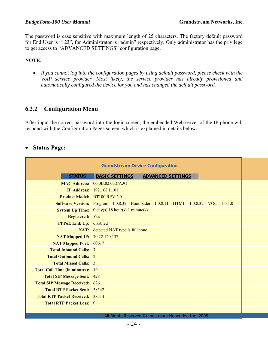The password is case sensitive with maximum length of 25 characters. The factory default password for End User is "123", for Administrator is "admin" respectively. Only administrator has the privilege to get access to "ADVANCED SETTINGS" configuration page.

#### **NOTE:**

• *If you cannot log into the configuration pages by using default password, please check with the VoIP service provider. Most likely, the service provider has already provisioned and automatically configured the device for you and has changed the default password.* 

#### **6.2.2 Configuration Menu**

After input the correct password into the login screen, the embedded Web server of the IP phone will respond with the Configuration Pages screen, which is explained in details below.

#### • **Status Page:**

|                                         | <b>Grandstream Device Configuration</b>                                                  |                          |  |
|-----------------------------------------|------------------------------------------------------------------------------------------|--------------------------|--|
| <b>STATUS</b>                           | <b>BASIC SETTINGS</b>                                                                    | <b>ADVANCED SETTINGS</b> |  |
|                                         | <b>MAC Address: 00.0B.82.05.CA.91</b>                                                    |                          |  |
|                                         | <b>IP Address:</b> 192.168.1.101                                                         |                          |  |
| <b>Product Model:</b> BT100 REV 2.0     |                                                                                          |                          |  |
|                                         | Software Version: Program-- 1.0.8.32 Bootloader-- 1.0.8.11 HTML-- 1.0.8.32 VOC-- 1.0.1.0 |                          |  |
|                                         | <b>System Up Time:</b> $0 \text{ day}(s) 18 \text{ hour}(s) 1 \text{ minute}(s)$         |                          |  |
| <b>Registered:</b> Yes                  |                                                                                          |                          |  |
| <b>PPPoE Link Up:</b> disabled          |                                                                                          |                          |  |
|                                         | <b>NAT:</b> detected NAT type is full cone                                               |                          |  |
| <b>NAT Mapped IP: 70.22.120.137</b>     |                                                                                          |                          |  |
| <b>NAT Mapped Port: 60617</b>           |                                                                                          |                          |  |
| <b>Total Inbound Calls:</b>             | -7                                                                                       |                          |  |
| <b>Total Outbound Calls: 2</b>          |                                                                                          |                          |  |
| <b>Total Missed Calls: 3</b>            |                                                                                          |                          |  |
| <b>Total Call Time (in minutes):</b>    | - 19                                                                                     |                          |  |
| <b>Total SIP Message Sent: 428</b>      |                                                                                          |                          |  |
| <b>Total SIP Message Received:</b> 626  |                                                                                          |                          |  |
| <b>Total RTP Packet Sent: 38542</b>     |                                                                                          |                          |  |
| <b>Total RTP Packet Received:</b> 38514 |                                                                                          |                          |  |
| <b>Total RTP Packet Loss: 0</b>         |                                                                                          |                          |  |
|                                         |                                                                                          |                          |  |

All Rights Reserved Grandstream Networks, Inc. 2005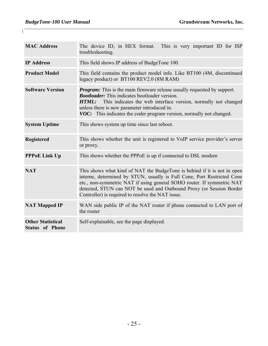| <b>MAC Address</b>                                 | The device ID, in HEX format. This is very important ID for ISP<br>troubleshooting.                                                                                                                                                                                                                                                                        |
|----------------------------------------------------|------------------------------------------------------------------------------------------------------------------------------------------------------------------------------------------------------------------------------------------------------------------------------------------------------------------------------------------------------------|
| <b>IP Address</b>                                  | This field shows IP address of BudgeTone 100.                                                                                                                                                                                                                                                                                                              |
| <b>Product Model</b>                               | This field contains the product model info. Like BT100 (4M, discontinued<br>legacy product) or BT100 REV2.0 (8M RAM)                                                                                                                                                                                                                                       |
| <b>Software Version</b>                            | <b><i>Program:</i></b> This is the main firmware release usually requested by support.<br><b>Bootloader:</b> This indicates bootloader version.<br>This indicates the web interface version, normally not changed<br>HTML:<br>unless there is new parameter introduced in.<br>VOC: This indicates the coder program version, normally not changed.         |
| <b>System Uptime</b>                               | This shows system up time since last reboot.                                                                                                                                                                                                                                                                                                               |
| <b>Registered</b>                                  | This shows whether the unit is registered to VoIP service provider's server<br>or proxy.                                                                                                                                                                                                                                                                   |
| <b>PPPoE Link Up</b>                               | This shows whether the PPPoE is up if connected to DSL modem                                                                                                                                                                                                                                                                                               |
| <b>NAT</b>                                         | This shows what kind of NAT the BudgeTone is behind if it is not in open<br>interne, determined by STUN, usually is Full Cone, Port Restricted Cone<br>etc., non-symmetric NAT if using general SOHO router. If symmetric NAT<br>detected, STUN can NOT be used and Outbound Proxy (or Session Border<br>Controller) is required to resolve the NAT issue. |
| <b>NAT Mapped IP</b>                               | WAN side public IP of the NAT router if phone connected to LAN port of<br>the router                                                                                                                                                                                                                                                                       |
| <b>Other Statistical</b><br><b>Status of Phone</b> | Self-explainable, see the page displayed.                                                                                                                                                                                                                                                                                                                  |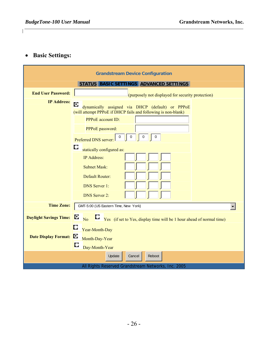#### • **Basic Settings:**

|                               | <b>Grandstream Device Configuration</b>                                                                                                                                                                                                                                    |
|-------------------------------|----------------------------------------------------------------------------------------------------------------------------------------------------------------------------------------------------------------------------------------------------------------------------|
|                               | STATUS BASIC SETTINGS ADVANCED SETTINGS                                                                                                                                                                                                                                    |
| <b>End User Password:</b>     | (purposely not displayed for security protection)                                                                                                                                                                                                                          |
| <b>IP Address:</b>            | O<br>dynamically assigned via DHCP (default) or PPPoE<br>(will attempt PPPoE if DHCP fails and following is non-blank)<br><b>PPPoE</b> account ID:<br>PPPoE password:<br>0<br>0<br>0<br>0<br>Preferred DNS server:<br>D<br>statically configured as:<br><b>IP Address:</b> |
|                               | <b>Subnet Mask:</b><br><b>Default Router:</b><br><b>DNS</b> Server 1:<br><b>DNS</b> Server 2:                                                                                                                                                                              |
| <b>Time Zone:</b>             | GMT-5:00 (US Eastern Time, New York)                                                                                                                                                                                                                                       |
| <b>Daylight Savings Time:</b> | O<br>ц<br>Yes (if set to Yes, display time will be 1 hour ahead of normal time)<br>N <sub>o</sub>                                                                                                                                                                          |
| Date Display Format: C        | O<br>Year-Month-Day<br>Month-Day-Year<br>O<br>Day-Month-Year                                                                                                                                                                                                               |
|                               | Update<br>Cancel<br>Reboot                                                                                                                                                                                                                                                 |
|                               | All Rights Reserved Grandstream Networks, Inc. 2005                                                                                                                                                                                                                        |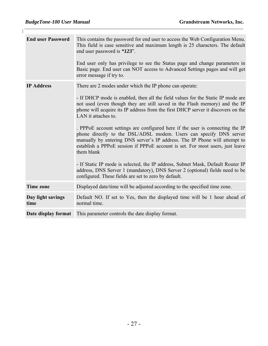$\mathsf{I}$ 

| <b>End user Password</b>  | This contains the password for end user to access the Web Configuration Menu.<br>This field is case sensitive and maximum length is 25 characters. The default<br>end user password is "123".<br>End user only has privilege to see the Status page and change parameters in<br>Basic page. End user can NOT access to Advanced Settings pages and will get<br>error message if try to.                                                                                                                                                                                                                                                                                                                                                                                                                                                                                                            |
|---------------------------|----------------------------------------------------------------------------------------------------------------------------------------------------------------------------------------------------------------------------------------------------------------------------------------------------------------------------------------------------------------------------------------------------------------------------------------------------------------------------------------------------------------------------------------------------------------------------------------------------------------------------------------------------------------------------------------------------------------------------------------------------------------------------------------------------------------------------------------------------------------------------------------------------|
| <b>IP Address</b>         | There are 2 modes under which the IP phone can operate:<br>- If DHCP mode is enabled, then all the field values for the Static IP mode are<br>not used (even though they are still saved in the Flash memory) and the IP<br>phone will acquire its IP address from the first DHCP server it discovers on the<br>LAN it attaches to.<br>. PPPoE account settings are configured here if the user is connecting the IP<br>phone directly to the DSL/ADSL modem. Users can specify DNS server<br>manually by entering DNS server's IP address. The IP Phone will attempt to<br>establish a PPPoE session if PPPoE account is set. For most users, just leave<br>them blank<br>- If Static IP mode is selected, the IP address, Subnet Mask, Default Router IP<br>address, DNS Server 1 (mandatory), DNS Server 2 (optional) fields need to be<br>configured. These fields are set to zero by default. |
| <b>Time zone</b>          | Displayed date/time will be adjusted according to the specified time zone.                                                                                                                                                                                                                                                                                                                                                                                                                                                                                                                                                                                                                                                                                                                                                                                                                         |
| Day light savings<br>time | Default NO. If set to Yes, then the displayed time will be 1 hour ahead of<br>normal time.                                                                                                                                                                                                                                                                                                                                                                                                                                                                                                                                                                                                                                                                                                                                                                                                         |
| Date display format       | This parameter controls the date display format.                                                                                                                                                                                                                                                                                                                                                                                                                                                                                                                                                                                                                                                                                                                                                                                                                                                   |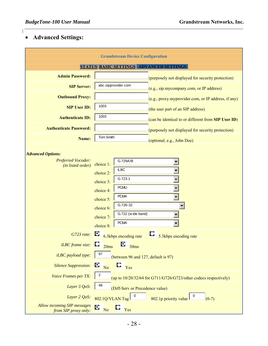### • **Advanced Settings:**

| <b>Grandstream Device Configuration</b>             |                                                                                                                                                                                                                   |  |
|-----------------------------------------------------|-------------------------------------------------------------------------------------------------------------------------------------------------------------------------------------------------------------------|--|
|                                                     | STATUS BASIC SETTINGS ADVANCED SETTINGS                                                                                                                                                                           |  |
| <b>Admin Password:</b>                              | (purposely not displayed for security protection)                                                                                                                                                                 |  |
| <b>SIP Server:</b>                                  | abc.sipprovider.com<br>(e.g., sip.mycompany.com, or IP address)                                                                                                                                                   |  |
| <b>Outbound Proxy:</b>                              | (e.g., proxy.myprovider.com, or IP address, if any)                                                                                                                                                               |  |
| <b>SIP User ID:</b>                                 | 1003<br>(the user part of an SIP address)                                                                                                                                                                         |  |
| <b>Authenticate ID:</b>                             | 1003<br>(can be identical to or different from SIP User ID)                                                                                                                                                       |  |
| <b>Authenticate Password:</b>                       | (purposely not displayed for security protection)                                                                                                                                                                 |  |
| Name:                                               | Tom Smith<br>(optional, e.g., John Doe)                                                                                                                                                                           |  |
| <b>Advanced Options:</b>                            |                                                                                                                                                                                                                   |  |
| <b>Preferred Vocoder:</b><br>(in listed order)      | G.729A/B<br>choice 1:<br>iLBC<br>choice 2:<br>G.723.1<br>choice 3:<br><b>PCMU</b><br>choice 4:<br><b>PCMA</b><br>choice 5:<br>G.726-32<br>choice 6:<br>G.722 (wide band)<br>choice 7:<br><b>PCMA</b><br>choice 8: |  |
| G723 rate:                                          | O<br>Q<br>6.3kbps encoding rate<br>5.3kbps encoding rate                                                                                                                                                          |  |
| <i>iLBC</i> frame size:                             | $\frac{1}{30}$<br>20ms                                                                                                                                                                                            |  |
| iLBC payload type:                                  | 97<br>(between 96 and 127, default is 97)                                                                                                                                                                         |  |
| <b>Silence Suppression:</b>                         | O<br>O,<br>N <sub>o</sub><br>Yes                                                                                                                                                                                  |  |
| Voice Frames per TX:                                | $\overline{c}$<br>(up to $10/20/32/64$ for G711/G726/G723/other codecs respectively)                                                                                                                              |  |
| Layer 3 QoS:                                        | 48<br>(Diff-Serv or Precedence value)                                                                                                                                                                             |  |
| Layer 2 QoS:                                        | 802.1Q/VLAN Tag<br>802.1p priority value<br>$(0-7)$                                                                                                                                                               |  |
| Allow incoming SIP messages<br>from SIP proxy only: | O<br>N <sub>o</sub><br>Yes                                                                                                                                                                                        |  |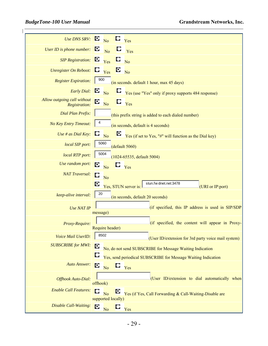| <b>Use DNS SRV:</b>                          | O<br>O<br>$\overline{N_{0}}$<br>Yes                                                                       |
|----------------------------------------------|-----------------------------------------------------------------------------------------------------------|
| <b>User ID</b> is phone number:              | O<br>$\Box$<br>$\overline{N}$<br>Yes                                                                      |
| <b>SIP</b> Registration:                     | O<br>$\Box$ No<br>Yes                                                                                     |
| <b>Unregister On Reboot:</b>                 | $\mathbf{E}$ No<br>$\mathbf{C}$<br>Yes                                                                    |
| <b>Register Expiration:</b>                  | 900<br>(in seconds. default 1 hour, max 45 days)                                                          |
| <b>Early Dial:</b>                           | O<br>N <sub>o</sub><br>Yes (use "Yes" only if proxy supports 484 response)                                |
| Allow outgoing call without<br>Registration: | O<br>$\Box$ Yes<br>No                                                                                     |
| Dial Plan Prefix:                            | (this prefix string is added to each dialed number)                                                       |
| No Key Entry Timeout:                        | (in seconds, default is 4 seconds)                                                                        |
| Use # as Dial Key:                           | O<br>O<br>Yes (if set to Yes, "#" will function as the Dial key)<br>N <sub>o</sub>                        |
| local SIP port:                              | 5060<br>(default 5060)                                                                                    |
| local RTP port:                              | 5004<br>$(1024 - 65535,$ default 5004)                                                                    |
| Use random port:                             | о<br>u<br>N <sub>o</sub><br>Yes                                                                           |
| <b>NAT Traversal:</b>                        | D<br>No<br>stun.fw dnet.net:3478<br>O<br>Yes, STUN server is:<br>(URI or IP:port)                         |
| keep-alive interval:                         | 20<br>(in seconds, default 20 seconds)                                                                    |
| <b>Use NAT IP</b>                            | (if specified, this IP address is used in SIP/SDP<br>message)                                             |
| Proxy-Require:                               | (if specified, the content will appear in Proxy-<br>Require header)                                       |
| Voice Mail UserID:                           | 8502<br>(User ID/extension for 3rd party voice mail system)                                               |
| <b>SUBSCRIBE for MWI:</b>                    | о<br>No, do not send SUBSCRIBE for Message Waiting Indication                                             |
|                                              | Yes, send periodical SUBSCRIBE for Message Waiting Indication                                             |
| <b>Auto Answer:</b>                          | O<br>u<br>No<br>Yes                                                                                       |
| <b>Offhook Auto-Dial:</b>                    | (User ID/extension to dial automatically when<br>offhook)                                                 |
| <b>Enable Call Features:</b>                 | O<br>u<br>Yes (if Yes, Call Forwarding & Call-Waiting-Disable are<br>N <sub>o</sub><br>supported locally) |
|                                              |                                                                                                           |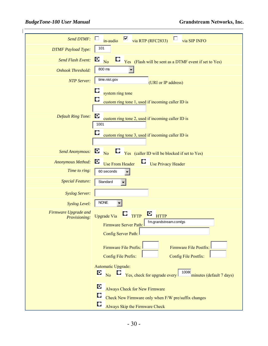| <b>Send DTMF:</b>                     | ☑<br>via RTP (RFC2833)<br>in-audio<br>via SIP INFO                                                                                                                                                                                                                                                                                                                                                                                                                        |
|---------------------------------------|---------------------------------------------------------------------------------------------------------------------------------------------------------------------------------------------------------------------------------------------------------------------------------------------------------------------------------------------------------------------------------------------------------------------------------------------------------------------------|
| <b>DTMF</b> Payload Type:             | 101                                                                                                                                                                                                                                                                                                                                                                                                                                                                       |
| <b>Send Flash Event:</b>              | O<br>Ц<br>$\overline{N_{0}}$<br>Yes (Flash will be sent as a DTMF event if set to Yes)                                                                                                                                                                                                                                                                                                                                                                                    |
| <b>Onhook Threshold:</b>              | 800 ms                                                                                                                                                                                                                                                                                                                                                                                                                                                                    |
| <b>NTP Server:</b>                    | time.nist.gov<br>(URI or IP address)                                                                                                                                                                                                                                                                                                                                                                                                                                      |
| <b>Default Ring Tone:</b>             | system ring tone<br>custom ring tone 1, used if incoming caller ID is<br>O<br>custom ring tone 2, used if incoming caller ID is<br>1001<br>O<br>custom ring tone 3, used if incoming caller ID is                                                                                                                                                                                                                                                                         |
| <b>Send Anonymous:</b>                | O<br><b>E</b> Yes (caller ID will be blocked if set to Yes)<br>$\overline{N_{0}}$                                                                                                                                                                                                                                                                                                                                                                                         |
| <b>Anonymous Method:</b>              | O<br>L.<br>Use Privacy Header<br><b>Use From Header</b>                                                                                                                                                                                                                                                                                                                                                                                                                   |
| Time to ring:                         | 60 seconds                                                                                                                                                                                                                                                                                                                                                                                                                                                                |
| <b>Special Feature:</b>               | Standard                                                                                                                                                                                                                                                                                                                                                                                                                                                                  |
| <b>Syslog Server:</b>                 |                                                                                                                                                                                                                                                                                                                                                                                                                                                                           |
| Syslog Level:                         | <b>NONE</b>                                                                                                                                                                                                                                                                                                                                                                                                                                                               |
| Firmware Upgrade and<br>Provisioning: | $\circ$<br>L)<br><b>TFTP</b><br><b>HTTP</b><br><b>Upgrade Via</b><br>fm.grandstream.com/gs<br>Firmware Server Path:<br>Config Server Path:<br>Firmware File Postfix:<br>Firmware File Prefix:<br>Config File Postfix:<br>Config File Prefix:<br>Automatic Upgrade:<br>10080<br>O<br>Yes, check for upgrade every<br>$\overline{N_0}$<br>minutes (default 7 days)<br>O<br><b>Always Check for New Firmware</b><br>D<br>Check New Firmware only when F/W pre/suffix changes |
|                                       | D<br>Always Skip the Firmware Check                                                                                                                                                                                                                                                                                                                                                                                                                                       |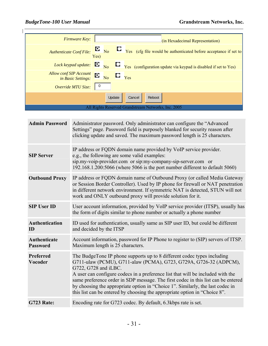| Firmware Key:                                | (in Hexadecimal Representation)                                                                                                 |
|----------------------------------------------|---------------------------------------------------------------------------------------------------------------------------------|
| <b>Authenticate Conf File:</b>               | $\mathbf{E}$ <sub>No</sub><br>$\mathbf{C}$ $\mathbf{Y}$ es (cfg file would be authenticated before acceptance if set to<br>Yes) |
| Lock keypad update: $\bullet$                | $\overline{N_0}$<br>Yes (configuration update via keypad is disabled if set to Yes)                                             |
| Allow conf SIP Account<br>in Basic Settings: | O<br>Yes<br>$\overline{N_0}$                                                                                                    |
| Override MTU Size:                           | $\overline{0}$                                                                                                                  |
|                                              | Update<br>Cancel<br>Reboot                                                                                                      |
|                                              | All Rights Reserved Grandstream Networks, Inc. 2005                                                                             |

| <b>Admin Password</b>           | Administrator password. Only administrator can configure the "Advanced<br>Settings" page. Password field is purposely blanked for security reason after<br>clicking update and saved. The maximum password length is 25 characters.                                                                                                                                                                                                                                                                          |
|---------------------------------|--------------------------------------------------------------------------------------------------------------------------------------------------------------------------------------------------------------------------------------------------------------------------------------------------------------------------------------------------------------------------------------------------------------------------------------------------------------------------------------------------------------|
| <b>SIP Server</b>               | IP address or FQDN domain name provided by VoIP service provider.<br>e.g., the following are some valid examples:<br>sip.my-voip-provider.com or sip:my-company-sip-server.com or<br>192.168.1.200:5066 (where 5066 is the port number different to default 5060)                                                                                                                                                                                                                                            |
| <b>Outbound Proxy</b>           | IP address or FQDN domain name of Outbound Proxy (or called Media Gateway<br>or Session Border Controller). Used by IP phone for firewall or NAT penetration<br>in different network environment. If symmetric NAT is detected, STUN will not<br>work and ONLY outbound proxy will provide solution for it.                                                                                                                                                                                                  |
| <b>SIP User ID</b>              | User account information, provided by VoIP service provider (ITSP), usually has<br>the form of digits similar to phone number or actually a phone number                                                                                                                                                                                                                                                                                                                                                     |
| <b>Authentication</b><br>ID     | ID used for authentication, usually same as SIP user ID, but could be different<br>and decided by the ITSP                                                                                                                                                                                                                                                                                                                                                                                                   |
| Authenticate<br><b>Password</b> | Account information, password for IP Phone to register to (SIP) servers of ITSP.<br>Maximum length is 25 characters.                                                                                                                                                                                                                                                                                                                                                                                         |
| Preferred<br>Vocoder            | The BudgeTone IP phone supports up to 8 different codec types including<br>G711-ulaw (PCMU), G711-alaw (PCMA), G723, G729A, G726-32 (ADPCM),<br>G722, G728 and iLBC.<br>A user can configure codecs in a preference list that will be included with the<br>same preference order in SDP message. The first codec in this list can be entered<br>by choosing the appropriate option in "Choice 1". Similarly, the last codec in<br>this list can be entered by choosing the appropriate option in "Choice 8". |
| <b>G723 Rate:</b>               | Encoding rate for G723 codec. By default, 6.3kbps rate is set.                                                                                                                                                                                                                                                                                                                                                                                                                                               |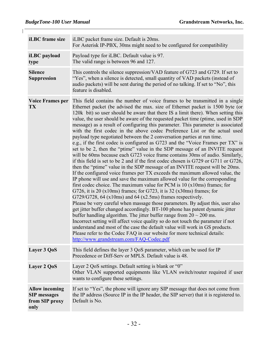| iLBC frame size                                                        | iLBC packet frame size. Default is 20ms.<br>For Asterisk IP-PBX, 30ms might need to be configured for compatibility                                                                                                                                                                                                                                                                                                                                                                                                                                                                                                                                                                                                                                                                                                                                                                                                                                                                                                                                                                                                                                                                                                                                                                                                                                                                                                                                                                                                                                                                                                                                                                                                                                                                                                                                                                                                                                        |
|------------------------------------------------------------------------|------------------------------------------------------------------------------------------------------------------------------------------------------------------------------------------------------------------------------------------------------------------------------------------------------------------------------------------------------------------------------------------------------------------------------------------------------------------------------------------------------------------------------------------------------------------------------------------------------------------------------------------------------------------------------------------------------------------------------------------------------------------------------------------------------------------------------------------------------------------------------------------------------------------------------------------------------------------------------------------------------------------------------------------------------------------------------------------------------------------------------------------------------------------------------------------------------------------------------------------------------------------------------------------------------------------------------------------------------------------------------------------------------------------------------------------------------------------------------------------------------------------------------------------------------------------------------------------------------------------------------------------------------------------------------------------------------------------------------------------------------------------------------------------------------------------------------------------------------------------------------------------------------------------------------------------------------------|
| iLBC payload<br>type                                                   | Payload type for iLBC. Default value is 97.<br>The valid range is between 96 and 127.                                                                                                                                                                                                                                                                                                                                                                                                                                                                                                                                                                                                                                                                                                                                                                                                                                                                                                                                                                                                                                                                                                                                                                                                                                                                                                                                                                                                                                                                                                                                                                                                                                                                                                                                                                                                                                                                      |
| <b>Silence</b><br><b>Suppression</b>                                   | This controls the silence suppression/VAD feature of G723 and G729. If set to<br>"Yes", when a silence is detected, small quantity of VAD packets (instead of<br>audio packets) will be sent during the period of no talking. If set to "No", this<br>feature is disabled.                                                                                                                                                                                                                                                                                                                                                                                                                                                                                                                                                                                                                                                                                                                                                                                                                                                                                                                                                                                                                                                                                                                                                                                                                                                                                                                                                                                                                                                                                                                                                                                                                                                                                 |
| <b>Voice Frames per</b><br><b>TX</b>                                   | This field contains the number of voice frames to be transmitted in a single<br>Ethernet packet (be advised the max. size of Ethernet packet is 1500 byte (or<br>120k bit) so user should be aware that there IS a limit there). When setting this<br>value, the user should be aware of the requested packet time (ptime, used in SDP<br>message) as a result of configuring this parameter. This parameter is associated<br>with the first codec in the above codec Preference List or the actual used<br>payload type negotiated between the 2 conversation parties at run time.<br>e.g., if the first codec is configured as G723 and the "Voice Frames per TX" is<br>set to be 2, then the "ptime" value in the SDP message of an INVITE request<br>will be 60ms because each G723 voice frame contains 30ms of audio. Similarly,<br>if this field is set to be 2 and if the first codec chosen is G729 or G711 or G726,<br>then the "ptime" value in the SDP message of an INVITE request will be 20ms.<br>If the configured voice frames per TX exceeds the maximum allowed value, the<br>IP phone will use and save the maximum allowed value for the corresponding<br>first codec choice. The maximum value for PCM is $10$ ( $x10ms$ ) frames; for<br>G726, it is 20 ( $x10ms$ ) frames; for G723, it is 32 ( $x30ms$ ) frames; for<br>$G729/G728$ , 64 (x10ms) and 64 (x2.5ms) frames respectively.<br>Please be very careful when massage those parameters. By adjust this, user also<br>get jitter buffer changed accordingly. BT-100 phone has patent dynamic jitter<br>buffer handling algorithm. The jitter buffer range from $20 \sim 200$ ms.<br>Incorrect setting will affect voice quality so do not touch the parameter if not<br>understand and most of the case the default value will work in GS products.<br>Please refer to the Codec FAQ in our website for more technical details:<br>http://www.grandstream.com/FAQ-Codec.pdf |
| Layer 3 QoS                                                            | This field defines the layer 3 QoS parameter, which can be used for IP<br>Precedence or Diff-Serv or MPLS. Default value is 48.                                                                                                                                                                                                                                                                                                                                                                                                                                                                                                                                                                                                                                                                                                                                                                                                                                                                                                                                                                                                                                                                                                                                                                                                                                                                                                                                                                                                                                                                                                                                                                                                                                                                                                                                                                                                                            |
| Layer 2 QoS                                                            | Layer 2 QoS settings. Default setting is blank or "0"<br>Other VLAN supported equipments like VLAN switch/router required if user<br>wants to configure these settings.                                                                                                                                                                                                                                                                                                                                                                                                                                                                                                                                                                                                                                                                                                                                                                                                                                                                                                                                                                                                                                                                                                                                                                                                                                                                                                                                                                                                                                                                                                                                                                                                                                                                                                                                                                                    |
| <b>Allow incoming</b><br><b>SIP</b> messages<br>from SIP proxy<br>only | If set to "Yes", the phone will ignore any SIP message that does not come from<br>the IP address (Source IP in the IP header, the SIP server) that it is registered to.<br>Default is No.                                                                                                                                                                                                                                                                                                                                                                                                                                                                                                                                                                                                                                                                                                                                                                                                                                                                                                                                                                                                                                                                                                                                                                                                                                                                                                                                                                                                                                                                                                                                                                                                                                                                                                                                                                  |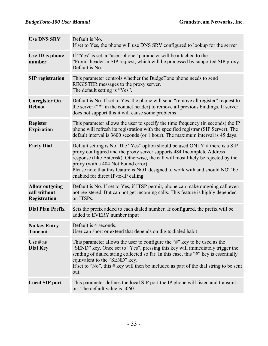| <b>Use DNS SRV</b>                                    | Default is No.<br>If set to Yes, the phone will use DNS SRV configured to lookup for the server                                                                                                                                                                                                                                                                                                            |
|-------------------------------------------------------|------------------------------------------------------------------------------------------------------------------------------------------------------------------------------------------------------------------------------------------------------------------------------------------------------------------------------------------------------------------------------------------------------------|
| Use ID is phone<br>number                             | If "Yes" is set, a "user=phone" parameter will be attached to the<br>"From" header in SIP request, which will be processed by supported SIP proxy.<br>Default is No.                                                                                                                                                                                                                                       |
| <b>SIP</b> registration                               | This parameter controls whether the BudgeTone phone needs to send<br>REGISTER messages to the proxy server.<br>The default setting is "Yes".                                                                                                                                                                                                                                                               |
| <b>Unregister On</b><br><b>Reboot</b>                 | Default is No. If set to Yes, the phone will send "remove all register" request to<br>the server ("*" in the contact header) to remove all previous bindings. If server<br>does not support this it will cause some problems                                                                                                                                                                               |
| <b>Register</b><br><b>Expiration</b>                  | This parameter allows the user to specify the time frequency (in seconds) the IP<br>phone will refresh its registration with the specified registrar (SIP Server). The<br>default interval is 3600 seconds (or 1 hour). The maximum interval is 45 days.                                                                                                                                                   |
| <b>Early Dial</b>                                     | Default setting is No. The "Yes" option should be used ONLY if there is a SIP<br>proxy configured and the proxy server supports 484 Incomplete Address<br>response (like Asterisk). Otherwise, the call will most likely be rejected by the<br>proxy (with a 404 Not Found error).<br>Please note that this feature is NOT designed to work with and should NOT be<br>enabled for direct IP-to-IP calling. |
| <b>Allow outgoing</b><br>call without<br>Registration | Default is No. If set to Yes, if ITSP permit, phone can make outgoing call even<br>not registered. But can not get incoming calls. This feature is highly depended<br>on ITSPs.                                                                                                                                                                                                                            |
| <b>Dial Plan Prefix</b>                               | Sets the prefix added to each dialed number. If configured, the prefix will be<br>added to EVERY number input                                                                                                                                                                                                                                                                                              |
| <b>No key Entry</b><br>Timeout                        | Default is 4 seconds.<br>User can short or extend that depends on digits dialed habit                                                                                                                                                                                                                                                                                                                      |
| Use $#$ as<br>Dial Key                                | This parameter allows the user to configure the "#" key to be used as the<br>"SEND" key. Once set to "Yes", pressing this key will immediately trigger the<br>sending of dialed string collected so far. In this case, this "#" key is essentially<br>equivalent to the "SEND" key.<br>If set to "No", this # key will then be included as part of the dial string to be sent<br>out.                      |
| <b>Local SIP port</b>                                 | This parameter defines the local SIP port the IP phone will listen and transmit<br>on. The default value is 5060.                                                                                                                                                                                                                                                                                          |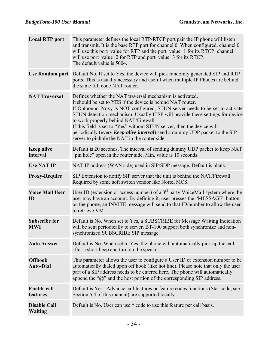$\mathbb{L}$ 

| <b>Local RTP port</b>                 | This parameter defines the local RTP-RTCP port pair the IP phone will listen<br>and transmit. It is the base RTP port for channel 0. When configured, channel 0<br>will use this port value for RTP and the port value+1 for its RTCP; channel 1<br>will use port value+2 for RTP and port value+3 for its RTCP.<br>The default value is 5004.                                                                                                                                                                                                       |
|---------------------------------------|------------------------------------------------------------------------------------------------------------------------------------------------------------------------------------------------------------------------------------------------------------------------------------------------------------------------------------------------------------------------------------------------------------------------------------------------------------------------------------------------------------------------------------------------------|
|                                       | Use Random port Default No. If set to Yes, the device will pick randomly generated SIP and RTP<br>ports. This is usually necessary and useful when multiple IP Phones are behind<br>the same full cone NAT router.                                                                                                                                                                                                                                                                                                                                   |
| <b>NAT Traversal</b>                  | Defines whether the NAT traversal mechanism is activated.<br>It should be set to YES if the device is behind NAT router.<br>If Outbound Proxy is NOT configured, STUN server needs to be set to activate<br>STUN detection mechanism. Usually ITSP will provide these settings for device<br>to work properly behind NAT/Firewall<br>If this field is set to "Yes" without STUN server, then the device will<br>periodically (every <i>Keep-alive interval</i> ) send a dummy UDP packet to the SIP<br>server to pinhole the NAT in the router side. |
| <b>Keep alive</b><br>interval         | Default is 20 seconds. The interval of sending dummy UDP packet to keep NAT<br>"pin hole" open in the router side. Min. value is 10 seconds.                                                                                                                                                                                                                                                                                                                                                                                                         |
| <b>Use NAT IP</b>                     | NAT IP address (WAN side) used in SIP/SDP message. Default is blank.                                                                                                                                                                                                                                                                                                                                                                                                                                                                                 |
| <b>Proxy-Require</b>                  | SIP Extension to notify SIP server that the unit is behind the NAT/Firewall.<br>Required by some soft switch vendor like Nortel MCS.                                                                                                                                                                                                                                                                                                                                                                                                                 |
| <b>Voice Mail User</b><br>ID          | User ID (extension or access number) of a $3rd$ party VoiceMail system where the<br>user may have an account. By defining it, user presses the "MESSAGE" button<br>on the phone, an INVITE message will send to that ID/number to allow the user<br>to retrieve VM.                                                                                                                                                                                                                                                                                  |
| <b>Subscribe for</b><br><b>MWI</b>    | Default is No. When set to Yes, a SUBSCRIBE for Message Waiting Indication<br>will be sent periodically to server. BT-100 support both synchronize and non-<br>synchronized SUBSCRIBE SIP message.                                                                                                                                                                                                                                                                                                                                                   |
| <b>Auto Answer</b>                    | Default is No. When set to Yes, the phone will automatically pick up the call<br>after a short beep and turn on the speaker.                                                                                                                                                                                                                                                                                                                                                                                                                         |
| <b>Offhook</b><br><b>Auto-Dial</b>    | This parameter allows the user to configure a User ID or extension number to be<br>automatically dialed upon off hook (like hot line). Please note that only the user<br>part of a SIP address needs to be entered here. The phone will automatically<br>append the " $@$ " and the host portion of the corresponding SIP address.                                                                                                                                                                                                                   |
| <b>Enable call</b><br>features        | Default is Yes. Advance call features or feature codes functions (Star code, see<br>Section 5.4 of this manual) are supported locally                                                                                                                                                                                                                                                                                                                                                                                                                |
| <b>Disable Call</b><br><b>Waiting</b> | Default is No. User can use * code to use this feature per call basis.                                                                                                                                                                                                                                                                                                                                                                                                                                                                               |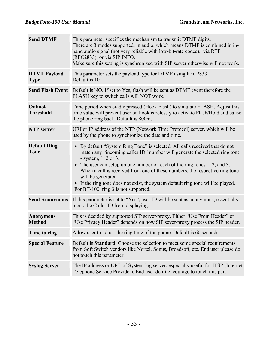| <b>Send DTMF</b>                   | This parameter specifies the mechanism to transmit DTMF digits.<br>There are 3 modes supported: in audio, which means DTMF is combined in in-<br>band audio signal (not very reliable with low-bit-rate codec); via RTP<br>(RFC2833); or via SIP INFO.<br>Make sure this setting is synchronized with SIP server otherwise will not work.                                                                                                                                                                              |
|------------------------------------|------------------------------------------------------------------------------------------------------------------------------------------------------------------------------------------------------------------------------------------------------------------------------------------------------------------------------------------------------------------------------------------------------------------------------------------------------------------------------------------------------------------------|
| <b>DTMF Payload</b><br><b>Type</b> | This parameter sets the payload type for DTMF using RFC2833<br>Default is 101                                                                                                                                                                                                                                                                                                                                                                                                                                          |
|                                    | <b>Send Flash Event</b> Default is NO. If set to Yes, flash will be sent as DTMF event therefore the<br>FLASH key to switch calls will NOT work.                                                                                                                                                                                                                                                                                                                                                                       |
| Onhook<br><b>Threshold</b>         | Time period when cradle pressed (Hook Flash) to simulate FLASH. Adjust this<br>time value will prevent user on hook carelessly to activate Flash/Hold and cause<br>the phone ring back. Default is 800ms.                                                                                                                                                                                                                                                                                                              |
| <b>NTP</b> server                  | URI or IP address of the NTP (Network Time Protocol) server, which will be<br>used by the phone to synchronize the date and time.                                                                                                                                                                                                                                                                                                                                                                                      |
| <b>Default Ring</b><br><b>Tone</b> | By default "System Ring Tone" is selected. All calls received that do not<br>$\bullet$<br>match any "incoming caller ID" number will generate the selected ring tone<br>- system, $1, 2$ or 3.<br>The user can setup up one number on each of the ring tones 1, 2, and 3.<br>$\bullet$<br>When a call is received from one of these numbers, the respective ring tone<br>will be generated.<br>• If the ring tone does not exist, the system default ring tone will be played.<br>For BT-100, ring 3 is not supported. |
| <b>Send Anonymous</b>              | If this parameter is set to "Yes", user ID will be sent as anonymous, essentially<br>block the Caller ID from displaying.                                                                                                                                                                                                                                                                                                                                                                                              |
| <b>Anonymous</b><br><b>Method</b>  | This is decided by supported SIP server/proxy. Either "Use From Header" or<br>"Use Privacy Header" depends on how SIP sever/proxy process the SIP header.                                                                                                                                                                                                                                                                                                                                                              |
| Time to ring                       | Allow user to adjust the ring time of the phone. Default is 60 seconds                                                                                                                                                                                                                                                                                                                                                                                                                                                 |
| <b>Special Feature</b>             | Default is Standard. Choose the selection to meet some special requirements<br>from Soft Switch vendors like Nortel, Sonus, Broadsoft, etc. End user please do<br>not touch this parameter.                                                                                                                                                                                                                                                                                                                            |
| <b>Syslog Server</b>               | The IP address or URL of System log server, especially useful for ITSP (Internet<br>Telephone Service Provider). End user don't encourage to touch this part                                                                                                                                                                                                                                                                                                                                                           |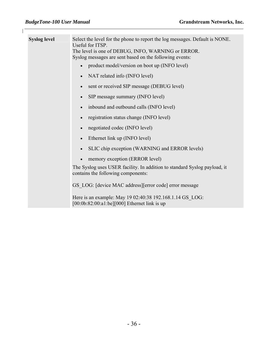$\mathbf{I}$ 

| <b>Syslog level</b> | Select the level for the phone to report the log messages. Default is NONE.<br>Useful for ITSP.<br>The level is one of DEBUG, INFO, WARNING or ERROR.<br>Syslog messages are sent based on the following events: |  |  |  |
|---------------------|------------------------------------------------------------------------------------------------------------------------------------------------------------------------------------------------------------------|--|--|--|
|                     | product model/version on boot up (INFO level)                                                                                                                                                                    |  |  |  |
|                     | NAT related info (INFO level)<br>$\bullet$                                                                                                                                                                       |  |  |  |
|                     | sent or received SIP message (DEBUG level)<br>$\bullet$                                                                                                                                                          |  |  |  |
|                     | SIP message summary (INFO level)<br>$\bullet$                                                                                                                                                                    |  |  |  |
|                     | inbound and outbound calls (INFO level)<br>$\bullet$                                                                                                                                                             |  |  |  |
|                     | registration status change (INFO level)<br>$\bullet$                                                                                                                                                             |  |  |  |
|                     | negotiated codec (INFO level)<br>$\bullet$                                                                                                                                                                       |  |  |  |
|                     | Ethernet link up (INFO level)<br>$\bullet$                                                                                                                                                                       |  |  |  |
|                     | SLIC chip exception (WARNING and ERROR levels)<br>$\bullet$                                                                                                                                                      |  |  |  |
|                     | memory exception (ERROR level)                                                                                                                                                                                   |  |  |  |
|                     | The Syslog uses USER facility. In addition to standard Syslog payload, it<br>contains the following components:                                                                                                  |  |  |  |
|                     | GS LOG: [device MAC address][error code] error message                                                                                                                                                           |  |  |  |
|                     | Here is an example: May 19 02:40:38 192.168.1.14 GS LOG:                                                                                                                                                         |  |  |  |

[00:0b:82:00:a1:be][000] Ethernet link is up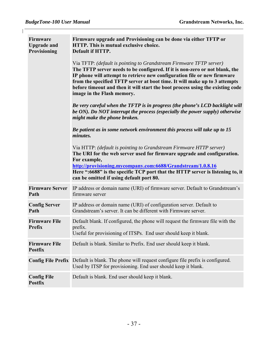$\mathsf{I}$ 

| <b>Firmware</b><br><b>Upgrade and</b><br>Provisioning | Firmware upgrade and Provisioning can be done via either TFTP or<br>HTTP. This is mutual exclusive choice.<br>Default if HTTP.<br>Via TFTP: (default is pointing to Grandstream Firmware TFTP server)<br>The TFTP server needs to be configured. If it is non-zero or not blank, the<br>IP phone will attempt to retrieve new configuration file or new firmware<br>from the specified TFTP server at boot time. It will make up to 3 attempts<br>before timeout and then it will start the boot process using the existing code<br>image in the Flash memory.<br>Be very careful when the TFTP is in progress (the phone's LCD backlight will<br>be ON). Do NOT interrupt the process (especially the power supply) otherwise<br>might make the phone broken.<br>Be patient as in some network environment this process will take up to 15<br>minutes.<br>Via HTTP: (default is pointing to Grandstream Firmware HTTP server)<br>The URI for the web server used for firmware upgrade and configuration.<br>For example,<br>http://provisioning.mycompany.com:6688/Grandstream/1.0.8.16<br>Here ":6688" is the specific TCP port that the HTTP server is listening to, it<br>can be omitted if using default port 80. |
|-------------------------------------------------------|------------------------------------------------------------------------------------------------------------------------------------------------------------------------------------------------------------------------------------------------------------------------------------------------------------------------------------------------------------------------------------------------------------------------------------------------------------------------------------------------------------------------------------------------------------------------------------------------------------------------------------------------------------------------------------------------------------------------------------------------------------------------------------------------------------------------------------------------------------------------------------------------------------------------------------------------------------------------------------------------------------------------------------------------------------------------------------------------------------------------------------------------------------------------------------------------------------------------|
| <b>Firmware Server</b><br>Path                        | IP address or domain name (URI) of firmware server. Default to Grandstream's<br>firmware server                                                                                                                                                                                                                                                                                                                                                                                                                                                                                                                                                                                                                                                                                                                                                                                                                                                                                                                                                                                                                                                                                                                        |
| <b>Config Server</b><br>Path                          | IP address or domain name (URI) of configuration server. Default to<br>Grandstream's server. It can be different with Firmware server.                                                                                                                                                                                                                                                                                                                                                                                                                                                                                                                                                                                                                                                                                                                                                                                                                                                                                                                                                                                                                                                                                 |
| <b>Firmware File</b><br><b>Prefix</b>                 | Default blank. If configured, the phone will request the firmware file with the<br>prefix.<br>Useful for provisioning of ITSPs. End user should keep it blank.                                                                                                                                                                                                                                                                                                                                                                                                                                                                                                                                                                                                                                                                                                                                                                                                                                                                                                                                                                                                                                                         |
| <b>Firmware File</b><br><b>Postfix</b>                | Default is blank. Similar to Prefix. End user should keep it blank.                                                                                                                                                                                                                                                                                                                                                                                                                                                                                                                                                                                                                                                                                                                                                                                                                                                                                                                                                                                                                                                                                                                                                    |
| <b>Config File Prefix</b>                             | Default is blank. The phone will request configure file prefix is configured.<br>Used by ITSP for provisioning. End user should keep it blank.                                                                                                                                                                                                                                                                                                                                                                                                                                                                                                                                                                                                                                                                                                                                                                                                                                                                                                                                                                                                                                                                         |
| <b>Config File</b><br><b>Postfix</b>                  | Default is blank. End user should keep it blank.                                                                                                                                                                                                                                                                                                                                                                                                                                                                                                                                                                                                                                                                                                                                                                                                                                                                                                                                                                                                                                                                                                                                                                       |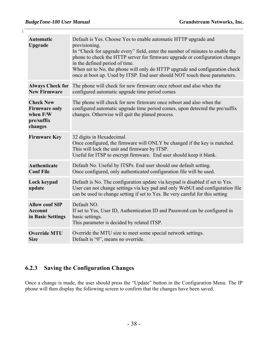$\mathbf{I}$ 

| <b>Automatic</b><br>Upgrade                                                   | Default is Yes. Choose Yes to enable automatic HTTP upgrade and<br>provisioning.<br>In "Check for upgrade every" field, enter the number of minutes to enable the<br>phone to check the HTTP server for firmware upgrade or configuration changes<br>in the defined period of time.<br>When set to No, the phone will only do HTTP upgrade and configuration check<br>once at boot up. Used by ITSP. End user should NOT touch these parameters. |
|-------------------------------------------------------------------------------|--------------------------------------------------------------------------------------------------------------------------------------------------------------------------------------------------------------------------------------------------------------------------------------------------------------------------------------------------------------------------------------------------------------------------------------------------|
| <b>Always Check for</b><br><b>New Firmware</b>                                | The phone will check for new firmware once reboot and also when the<br>configured automatic upgrade time period comes                                                                                                                                                                                                                                                                                                                            |
| <b>Check New</b><br><b>Firmware only</b><br>when F/W<br>pre/suffix<br>changes | The phone will check for new firmware once reboot and also when the<br>configured automatic upgrade time period comes, upon detected the pre/suffix<br>changes. Otherwise will quit the planed process.                                                                                                                                                                                                                                          |
| <b>Firmware Key</b>                                                           | 32 digits in Hexadecimal.<br>Once configured, the firmware will ONLY be changed if the key is matched.<br>This will lock the unit and firmware by ITSP.<br>Useful for ITSP to encrypt firmware. End user should keep it blank.                                                                                                                                                                                                                   |
| <b>Authenticate</b><br><b>Conf File</b>                                       | Default No. Useful by ITSPs. End user should use default setting.<br>Once configured, only authenticated configuration file will be used.                                                                                                                                                                                                                                                                                                        |
| <b>Lock keypad</b><br>update                                                  | Default is No. The configuration update via keypad is disabled if set to Yes.<br>User can not change settings via key pad and only WebUI and configuration file<br>can be used to change setting if set to Yes. Be very careful for this setting                                                                                                                                                                                                 |
| <b>Allow conf SIP</b><br><b>Account</b><br>in Basic Settings                  | Default NO.<br>If set to Yes, User ID, Authentication ID and Password can be configured in<br>basic settings.<br>This parameter is decided by related ITSP.                                                                                                                                                                                                                                                                                      |
| <b>Override MTU</b><br><b>Size</b>                                            | Override the MTU size to meet some special network settings.<br>Default is "0", means no override.                                                                                                                                                                                                                                                                                                                                               |

#### **6.2.3 Saving the Configuration Changes**

Once a change is made, the user should press the "Update" button in the Configuration Menu. The IP phone will then display the following screen to confirm that the changes have been saved.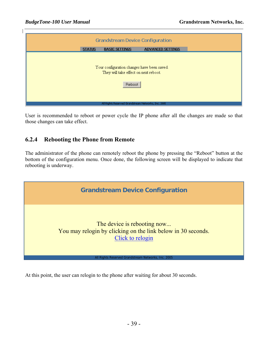| <b>ADVANCED SETTINGS</b><br><b>STATUS</b><br><b>BASIC SETTINGS</b><br>Your configuration changes have been saved.<br>They will take effect on next reboot.<br>Reboot<br>All Rights Reserved Grandstream Networks, Inc. 2005 | <b>Grandstream Device Configuration</b> |  |  |  |  |
|-----------------------------------------------------------------------------------------------------------------------------------------------------------------------------------------------------------------------------|-----------------------------------------|--|--|--|--|
|                                                                                                                                                                                                                             |                                         |  |  |  |  |
|                                                                                                                                                                                                                             |                                         |  |  |  |  |

User is recommended to reboot or power cycle the IP phone after all the changes are made so that those changes can take effect.

#### **6.2.4 Rebooting the Phone from Remote**

The administrator of the phone can remotely reboot the phone by pressing the "Reboot" button at the bottom of the configuration menu. Once done, the following screen will be displayed to indicate that rebooting is underway.



At this point, the user can relogin to the phone after waiting for about 30 seconds.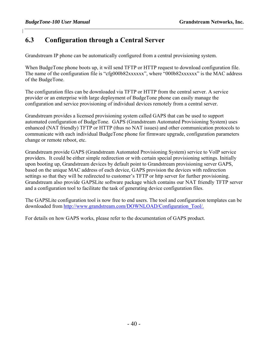#### **6.3 Configuration through a Central Server**

Grandstream IP phone can be automatically configured from a central provisioning system.

When BudgeTone phone boots up, it will send TFTP or HTTP request to download configuration file. The name of the configuration file is "cfg000b82xxxxxx", where "000b82xxxxxx" is the MAC address of the BudgeTone.

The configuration files can be downloaded via TFTP or HTTP from the central server. A service provider or an enterprise with large deployment of BudgeTone phone can easily manage the configuration and service provisioning of individual devices remotely from a central server.

Grandstream provides a licensed provisioning system called GAPS that can be used to support automated configuration of BudgeTone. GAPS (Grandstream Automated Provisioning System) uses enhanced (NAT friendly) TFTP or HTTP (thus no NAT issues) and other communication protocols to communicate with each individual BudgeTone phone for firmware upgrade, configuration parameters change or remote reboot, etc.

Grandstream provide GAPS (Grandstream Automated Provisioning System) service to VoIP service providers. It could be either simple redirection or with certain special provisioning settings. Initially upon booting up, Grandstream devices by default point to Grandstream provisioning server GAPS, based on the unique MAC address of each device, GAPS provision the devices with redirection settings so that they will be redirected to customer's TFTP or http server for further provisioning. Grandstream also provide GAPSLite software package which contains our NAT friendly TFTP server and a configuration tool to facilitate the task of generating device configuration files.

The GAPSLite configuration tool is now free to end users. The tool and configuration templates can be downloaded from http://www.grandstream.com/DOWNLOAD/Configuration\_Tool/.

For details on how GAPS works, please refer to the documentation of GAPS product.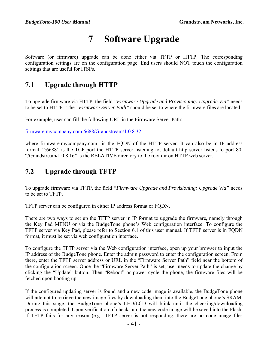## **7 Software Upgrade**

Software (or firmware) upgrade can be done either via TFTP or HTTP. The corresponding configuration settings are on the configuration page. End users should NOT touch the configuration settings that are useful for ITSPs.

#### **7.1 Upgrade through HTTP**

To upgrade firmware via HTTP, the field *"Firmware Upgrade and Provisioning: Upgrade Via"* needs to be set to HTTP. The *"Firmware Server Path"* should be set to where the firmware files are located.

For example, user can fill the following URL in the Firmware Server Path:

firmware.mycompany.com:6688/Grandstream/1.0.8.32

where firmware.mycompany.com is the FQDN of the HTTP server. It can also be in IP address format. ":6688" is the TCP port the HTTP server listening to, default http server listens to port 80. "/Grandstream/1.0.8.16" is the RELATIVE directory to the root dir on HTTP web server.

#### **7.2 Upgrade through TFTP**

To upgrade firmware via TFTP, the field *"Firmware Upgrade and Provisioning: Upgrade Via"* needs to be set to TFTP.

TFTP server can be configured in either IP address format or FQDN.

There are two ways to set up the TFTP server in IP format to upgrade the firmware, namely through the Key Pad MENU or via the BudgeTone phone's Web configuration interface. To configure the TFTP server via Key Pad, please refer to Section 6.1 of this user manual. If TFTP server is in FQDN format, it must be set via web configuration interface.

To configure the TFTP server via the Web configuration interface, open up your browser to input the IP address of the BudgeTone phone. Enter the admin password to enter the configuration screen. From there, enter the TFTP server address or URL in the "Firmware Server Path" field near the bottom of the configuration screen. Once the "Firmware Server Path" is set, user needs to update the change by clicking the "Update" button. Then "Reboot" or power cycle the phone, the firmware files will be fetched upon booting up.

If the configured updating server is found and a new code image is available, the BudgeTone phone will attempt to retrieve the new image files by downloading them into the BudgeTone phone's SRAM. During this stage, the BudgeTone phone's LED/LCD will blink until the checking/downloading process is completed. Upon verification of checksum, the new code image will be saved into the Flash. If TFTP fails for any reason (e.g., TFTP server is not responding, there are no code image files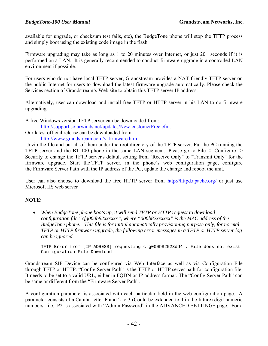available for upgrade, or checksum test fails, etc), the BudgeTone phone will stop the TFTP process and simply boot using the existing code image in the flash.

Firmware upgrading may take as long as 1 to 20 minutes over Internet, or just 20+ seconds if it is performed on a LAN. It is generally recommended to conduct firmware upgrade in a controlled LAN environment if possible.

For users who do not have local TFTP server, Grandstream provides a NAT-friendly TFTP server on the public Internet for users to download the latest firmware upgrade automatically. Please check the Services section of Grandstream's Web site to obtain this TFTP server IP address:

Alternatively, user can download and install free TFTP or HTTP server in his LAN to do firmware upgrading.

A free Windows version TFTP server can be downloaded from:

http://support.solarwinds.net/updates/New-customerFree.cfm.

Our latest official release can be downloaded from:

http://www.grandstream.com/y-firmware.htm

Unzip the file and put all of them under the root directory of the TFTP server. Put the PC running the TFTP server and the BT-100 phone in the same LAN segment. Please go to File -> Configure -> Security to change the TFTP server's default setting from "Receive Only" to "Transmit Only" for the firmware upgrade. Start the TFTP server, in the phone's web configuration page, configure the Firmware Server Path with the IP address of the PC, update the change and reboot the unit.

User can also choose to download the free HTTP server from http://httpd.apache.org/ or just use Microsoft IIS web server

#### **NOTE:**

• *When BudgeTone phone boots up, it will send TFTP or HTTP request to download configuration file "cfg000b82xxxxxx", where "000b82xxxxxx" is the MAC address of the BudgeTone phone. This file is for initial automatically provisioning purpose only, for normal TFTP or HTTP firmware upgrade, the following error messages in a TFTP or HTTP server log can be ignored.* 

 TFTP Error from [IP ADRESS] requesting cfg000b82023dd4 : File does not exist Configuration File Download

Grandstream SIP Device can be configured via Web Interface as well as via Configuration File through TFTP or HTTP. "Config Server Path" is the TFTP or HTTP server path for configuration file. It needs to be set to a valid URL, either in FQDN or IP address format. The "Config Server Path" can be same or different from the "Firmware Server Path".

A configuration parameter is associated with each particular field in the web configuration page. A parameter consists of a Capital letter P and 2 to 3 (Could be extended to 4 in the future) digit numeric numbers. i.e., P2 is associated with "Admin Password" in the ADVANCED SETTINGS page. For a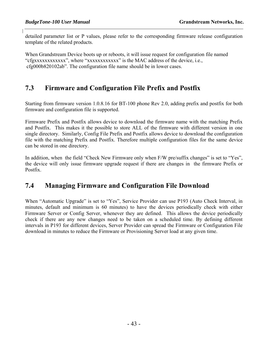detailed parameter list or P values, please refer to the corresponding firmware release configuration template of the related products.

When Grandstream Device boots up or reboots, it will issue request for configuration file named "cfgxxxxxxxxxxxx", where "xxxxxxxxxxxx" is the MAC address of the device, i.e., cfg000b820102ab". The configuration file name should be in lower cases.

#### **7.3 Firmware and Configuration File Prefix and Postfix**

Starting from firmware version 1.0.8.16 for BT-100 phone Rev 2.0, adding prefix and postfix for both firmware and configuration file is supported.

Firmware Prefix and Postfix allows device to download the firmware name with the matching Prefix and Postfix. This makes it the possible to store ALL of the firmware with different version in one single directory. Similarly, Config File Prefix and Postfix allows device to download the configuration file with the matching Prefix and Postfix. Therefore multiple configuration files for the same device can be stored in one directory.

In addition, when the field "Check New Firmware only when F/W pre/suffix changes" is set to "Yes", the device will only issue firmware upgrade request if there are changes in the firmware Prefix or Postfix.

#### **7.4 Managing Firmware and Configuration File Download**

When "Automatic Upgrade" is set to "Yes", Service Provider can use P193 (Auto Check Interval, in minutes, default and minimum is 60 minutes) to have the devices periodically check with either Firmware Server or Config Server, whenever they are defined. This allows the device periodically check if there are any new changes need to be taken on a scheduled time. By defining different intervals in P193 for different devices, Server Provider can spread the Firmware or Configuration File download in minutes to reduce the Firmware or Provisioning Server load at any given time.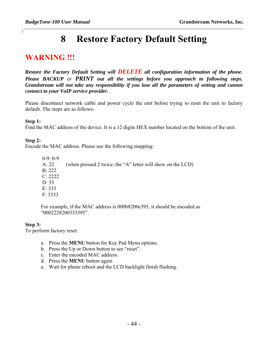## **8 Restore Factory Default Setting**

#### **WARNING !!!**

*Restore the Factory Default Setting will DELETE all configuration information of the phone. Please BACKUP or PRINT out all the settings before you approach to following steps. Grandstream will not take any responsibility if you lose all the parameters of setting and cannot connect to your VoIP service provider.* 

Please disconnect network cable and power cycle the unit before trying to reset the unit to factory default. The steps are as follows:

#### **Step 1:**

Find the MAC address of the device. It is a 12 digits HEX number located on the bottom of the unit.

#### **Step 2:**

Encode the MAC address. Please use the following mapping:

 0-9: 0-9 A: 22 (when pressed 2 twice, the "A" letter will show on the LCD) B: 222  $C: 2222$  D: 33 E: 333 F: 3333

For example, if the MAC address is 000b8200e395, it should be encoded as "0002228200333395".

#### **Step 3:**

To perform factory reset:

- a. Press the **MENU** button for Key Pad Menu options.
- b. Press the Up or Down button to see "reset".
- c. Enter the encoded MAC address.
- d. Press the **MENU** button again
- e. Wait for phone reboot and the LCD backlight finish flashing.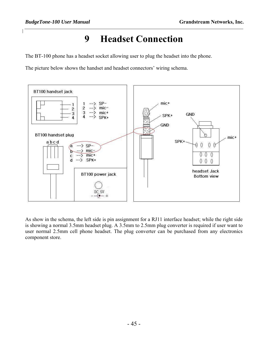## **9 Headset Connection**

The BT-100 phone has a headset socket allowing user to plug the headset into the phone.

The picture below shows the handset and headset connectors' wiring schema.



As show in the schema, the left side is pin assignment for a RJ11 interface headset; while the right side is showing a normal 3.5mm headset plug. A 3.5mm to 2.5mm plug converter is required if user want to user normal 2.5mm cell phone headset. The plug converter can be purchased from any electronics component store.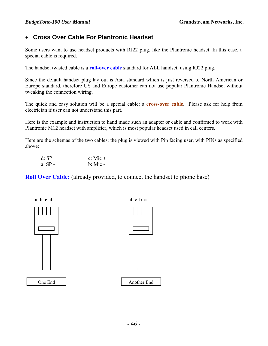#### • **Cross Over Cable For Plantronic Headset**

Some users want to use headset products with RJ22 plug, like the Plantronic headset. In this case, a special cable is required.

The handset twisted cable is a **roll-over cable** standard for ALL handset, using RJ22 plug.

Since the default handset plug lay out is Asia standard which is just reversed to North American or Europe standard, therefore US and Europe customer can not use popular Plantronic Handset without tweaking the connection wiring.

The quick and easy solution will be a special cable: a **cross-over cable**. Please ask for help from electrician if user can not understand this part.

Here is the example and instruction to hand made such an adapter or cable and confirmed to work with Plantronic M12 headset with amplifier, which is most popular headset used in call centers.

Here are the schemas of the two cables; the plug is viewed with Pin facing user, with PINs as specified above:

| d: SP + | c: Mic $+$ |
|---------|------------|
| a: SP - | $b:$ Mic - |

**Roll Over Cable:** (already provided, to connect the handset to phone base)



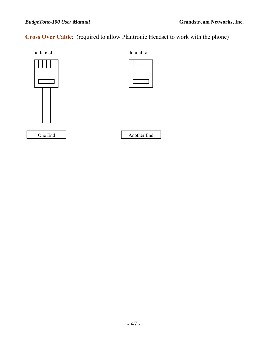$\overline{\phantom{a}}$ 

**Cross Over Cable**: (required to allow Plantronic Headset to work with the phone)

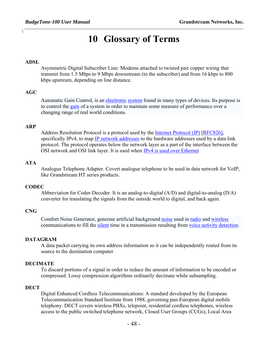## **10 Glossary of Terms**

#### **ADSL**

Asymmetric Digital Subscriber Line: Modems attached to twisted pair copper wiring that transmit from 1.5 Mbps to 9 Mbps downstream (to the subscriber) and from 16 kbps to 800 kbps upstream, depending on line distance.

#### **AGC**

Automatic Gain Control, is an electronic system found in many types of devices. Its purpose is to control the gain of a system in order to maintain some measure of performance over a changing range of real world conditions.

#### **ARP**

Address Resolution Protocol is a protocol used by the Internet Protocol (IP) [RFC826], specifically IPv4, to map IP network addresses to the hardware addresses used by a data link protocol. The protocol operates below the network layer as a part of the interface between the OSI network and OSI link layer. It is used when IPv4 is used over Ethernet

#### **ATA**

Analogue Telephone Adapter. Covert analogue telephone to be used in data network for VoIP, like Grandstream HT series products.

#### **CODEC**

Abbreviation for Coder-Decoder. It is an analog-to-digital (A/D) and digital-to-analog (D/A) converter for translating the signals from the outside world to digital, and back again.

#### **CNG**

Comfort Noise Generator, generate artificial background noise used in radio and wireless communications to fill the silent time in a transmission resulting from voice activity detection.

#### **DATAGRAM**

A data packet carrying its own address information so it can be independently routed from its source to the destination computer

#### **DECIMATE**

To discard portions of a signal in order to reduce the amount of information to be encoded or compressed. Lossy compression algorithms ordinarily decimate while subsampling.

#### **DECT**

Digital Enhanced Cordless Telecommunications: A standard developed by the European Telecommunication Standard Institute from 1988, governing pan-European digital mobile telephony. DECT covers wireless PBXs, telepoint, residential cordless telephones, wireless access to the public switched telephone network, Closed User Groups (CUGs), Local Area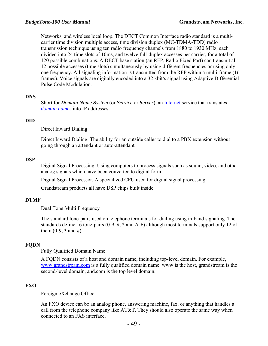Networks, and wireless local loop. The DECT Common Interface radio standard is a multicarrier time division multiple access, time division duplex (MC-TDMA-TDD) radio transmission technique using ten radio frequency channels from 1880 to 1930 MHz, each divided into 24 time slots of 10ms, and twelve full-duplex accesses per carrier, for a total of 120 possible combinations. A DECT base station (an RFP, Radio Fixed Part) can transmit all 12 possible accesses (time slots) simultaneously by using different frequencies or using only one frequency. All signaling information is transmitted from the RFP within a multi-frame (16 frames). Voice signals are digitally encoded into a 32 kbit/s signal using Adaptive Differential Pulse Code Modulation.

#### **DNS**

Short for *Domain Name System* (or *Service* or *Server*), an Internet service that translates *domain names* into IP addresses

#### **DID**

Direct Inward Dialing

Direct Inward Dialing. The ability for an outside caller to dial to a PBX extension without going through an attendant or auto-attendant.

#### **DSP**

Digital Signal Processing. Using computers to process signals such as sound, video, and other analog signals which have been converted to digital form.

Digital Signal Processor. A specialized CPU used for digital signal processing.

Grandstream products all have DSP chips built inside.

#### **DTMF**

Dual Tone Multi Frequency

The standard tone-pairs used on telephone terminals for dialing using in-band signaling. The standards define 16 tone-pairs (0-9, #, \* and A-F) although most terminals support only 12 of them  $(0-9, * \text{ and } #)$ .

#### **FQDN**

Fully Qualified Domain Name

A FQDN consists of a host and domain name, including top-level domain. For example, www.grandstream.com is a fully qualified domain name. www is the host, grandstream is the second-level domain, and.com is the top level domain.

#### **FXO**

Foreign eXchange Office

An FXO device can be an analog phone, answering machine, fax, or anything that handles a call from the telephone company like  $AT&T$ . They should also operate the same way when connected to an FXS interface.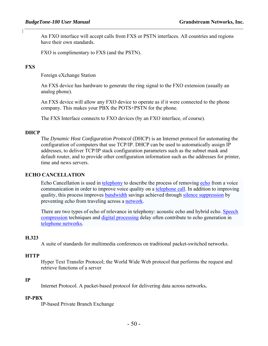An FXO interface will accept calls from FXS or PSTN interfaces. All countries and regions have their own standards.

FXO is complimentary to FXS (and the PSTN).

#### **FXS**

Foreign eXchange Station

An FXS device has hardware to generate the ring signal to the FXO extension (usually an analog phone).

An FXS device will allow any FXO device to operate as if it were connected to the phone company. This makes your PBX the POTS+PSTN for the phone.

The FXS Interface connects to FXO devices (by an FXO interface, of course).

#### **DHCP**

The *Dynamic Host Configuration Protocol* (DHCP) is an Internet protocol for automating the configuration of computers that use TCP/IP. DHCP can be used to automatically assign IP addresses, to deliver TCP/IP stack configuration parameters such as the subnet mask and default router, and to provide other configuration information such as the addresses for printer, time and news servers.

#### **ECHO CANCELLATION**

Echo Cancellation is used in telephony to describe the process of removing echo from a voice communication in order to improve voice quality on a telephone call. In addition to improving quality, this process improves bandwidth savings achieved through silence suppression by preventing echo from traveling across a network.

There are two types of echo of relevance in telephony: acoustic echo and hybrid echo. Speech compression techniques and digital processing delay often contribute to echo generation in telephone networks.

#### **H.323**

A suite of standards for multimedia conferences on traditional packet-switched networks.

#### **HTTP**

Hyper Text Transfer Protocol; the World Wide Web protocol that performs the request and retrieve functions of a server

#### **IP**

Internet Protocol. A packet-based protocol for delivering data across networks**.** 

#### **IP-PBX**

IP-based Private Branch Exchange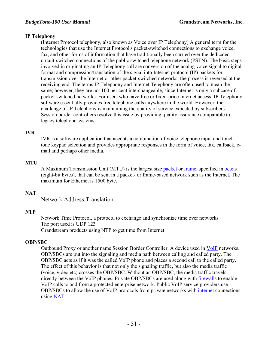#### **IP Telephony**

(Internet Protocol telephony, also known as Voice over IP Telephony) A general term for the technologies that use the Internet Protocol's packet-switched connections to exchange voice, fax, and other forms of information that have traditionally been carried over the dedicated circuit-switched connections of the public switched telephone network (PSTN). The basic steps involved in originating an IP Telephony call are conversion of the analog voice signal to digital format and compression/translation of the signal into Internet protocol (IP) packets for transmission over the Internet or other packet-switched networks; the process is reversed at the receiving end. The terms IP Telephony and Internet Telephony are often used to mean the same; however, they are not 100 per cent interchangeable, since Internet is only a subcase of packet-switched networks. For users who have free or fixed-price Internet access, IP Telephony software essentially provides free telephone calls anywhere in the world. However, the challenge of IP Telephony is maintaining the quality of service expected by subscribers. Session border controllers resolve this issue by providing quality assurance comparable to legacy telephone systems.

#### **IVR**

IVR is a software application that accepts a combination of voice telephone input and touchtone keypad selection and provides appropriate responses in the form of voice, fax, callback, email and perhaps other media.

#### **MTU**

A Maximum Transmission Unit (MTU) is the largest size packet or frame, specified in octets (eight-bit bytes), that can be sent in a packet- or frame-based network such as the Internet. The maximum for Ethernet is 1500 byte.

#### **NAT**

Network Address Translation

#### **NTP**

Network Time Protocol, a protocol to exchange and synchronize time over networks The port used is UDP 123 Grandstream products using NTP to get time from Internet

#### **OBP/SBC**

Outbound Proxy or another name Session Border Controller. A device used in VoIP networks. OBP/SBCs are put into the signaling and media path between calling and called party. The OBP/SBC acts as if it was the called VoIP phone and places a second call to the called party. The effect of this behavior is that not only the signaling traffic, but also the media traffic (voice, video etc) crosses the OBP/SBC. Without an OBP/SBC, the media traffic travels directly between the VoIP phones. Private OBP/SBCs are used along with **firewalls** to enable VoIP calls to and from a protected enterprise network. Public VoIP service providers use OBP/SBCs to allow the use of VoIP protocols from private networks with internet connections using NAT.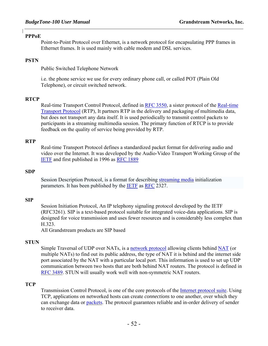#### **PPPoE**

Point-to-Point Protocol over Ethernet, is a network protocol for encapsulating PPP frames in Ethernet frames. It is used mainly with cable modem and DSL services.

#### **PSTN**

Public Switched Telephone Network

i.e. the phone service we use for every ordinary phone call, or called POT (Plain Old Telephone), or circuit switched network.

#### **RTCP**

Real-time Transport Control Protocol, defined in RFC 3550, a sister protocol of the Real-time Transport Protocol (RTP), It partners RTP in the delivery and packaging of multimedia data, but does not transport any data itself. It is used periodically to transmit control packets to participants in a streaming multimedia session. The primary function of RTCP is to provide feedback on the quality of service being provided by RTP.

#### **RTP**

Real-time Transport Protocol defines a standardized packet format for delivering audio and video over the Internet. It was developed by the Audio-Video Transport Working Group of the IETF and first published in 1996 as RFC 1889

#### **SDP**

Session Description Protocol, is a format for describing streaming media initialization parameters. It has been published by the IETF as RFC 2327.

#### **SIP**

Session Initiation Protocol, An IP telephony signaling protocol developed by the IETF (RFC3261). SIP is a text-based protocol suitable for integrated voice-data applications. SIP is designed for voice transmission and uses fewer resources and is considerably less complex than H.323.

All Grandstream products are SIP based

#### **STUN**

Simple Traversal of UDP over NATs, is a network protocol allowing clients behind NAT (or multiple NATs) to find out its public address, the type of NAT it is behind and the internet side port associated by the NAT with a particular local port. This information is used to set up UDP communication between two hosts that are both behind NAT routers. The protocol is defined in RFC 3489. STUN will usually work well with non-symmetric NAT routers.

#### **TCP**

Transmission Control Protocol, is one of the core protocols of the Internet protocol suite. Using TCP, applications on networked hosts can create *connections* to one another, over which they can exchange data or packets. The protocol guarantees reliable and in-order delivery of sender to receiver data.